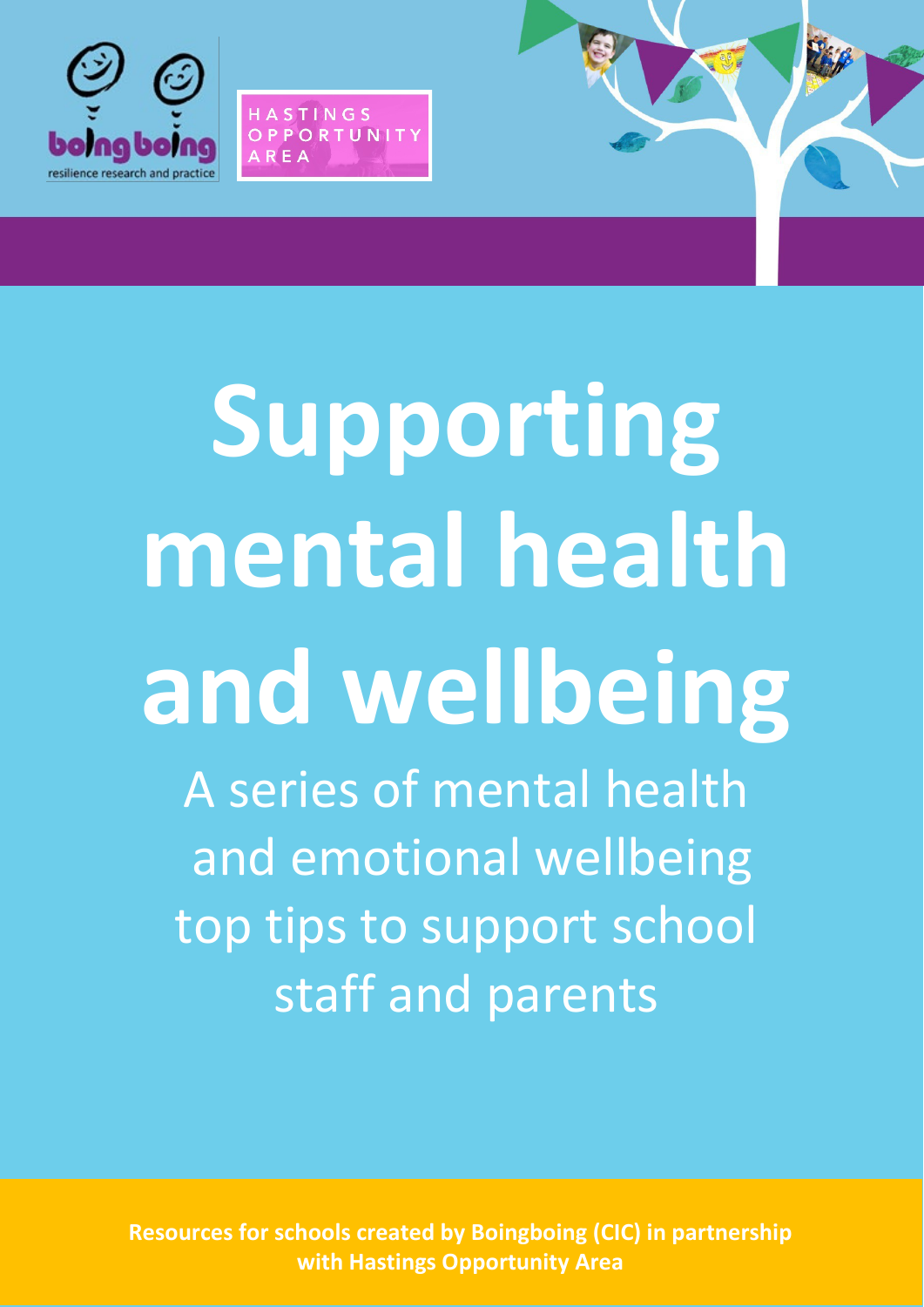

HASTINGS OPPORTUNIT

 $R F \triangle$ 

# **Supporting mental health and wellbeing** A series of mental health and emotional wellbeing top tips to support school

**Resources for schools created by Boingboing (CIC) in partnership with Hastings Opportunity Area**

staff and parents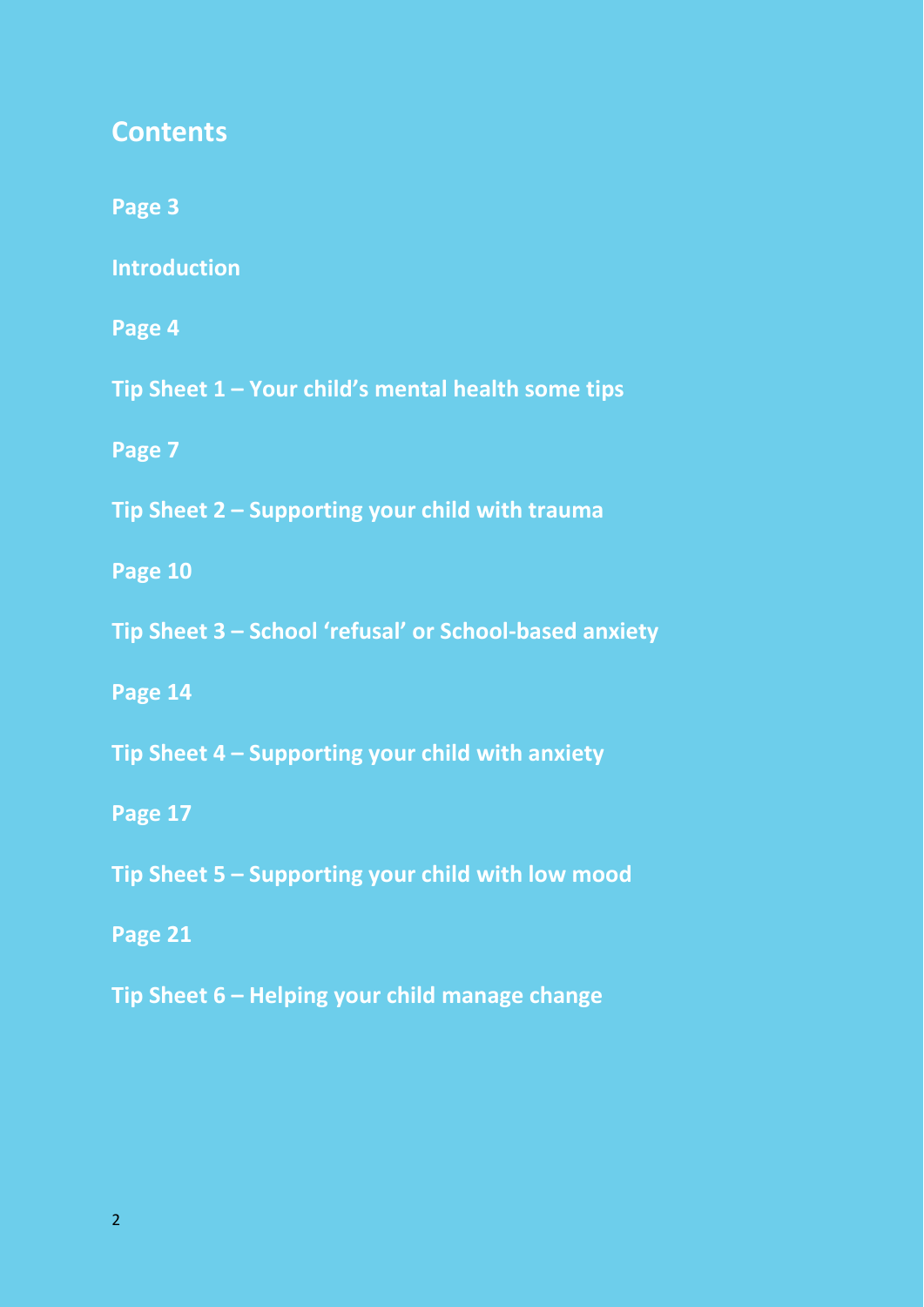#### **Contents**

**Page 3**

**Introduction**

**Page 4**

**Tip Sheet 1 – Your child's mental health some tips**

**Page 7**

**Tip Sheet 2 – Supporting your child with trauma**

**Page 10**

**Tip Sheet 3 – School 'refusal' or School-based anxiety**

**Page 14**

**Tip Sheet 4 – Supporting your child with anxiety**

**Page 17**

**Tip Sheet 5 – Supporting your child with low mood**

**Page 21**

**Tip Sheet 6 – Helping your child manage change**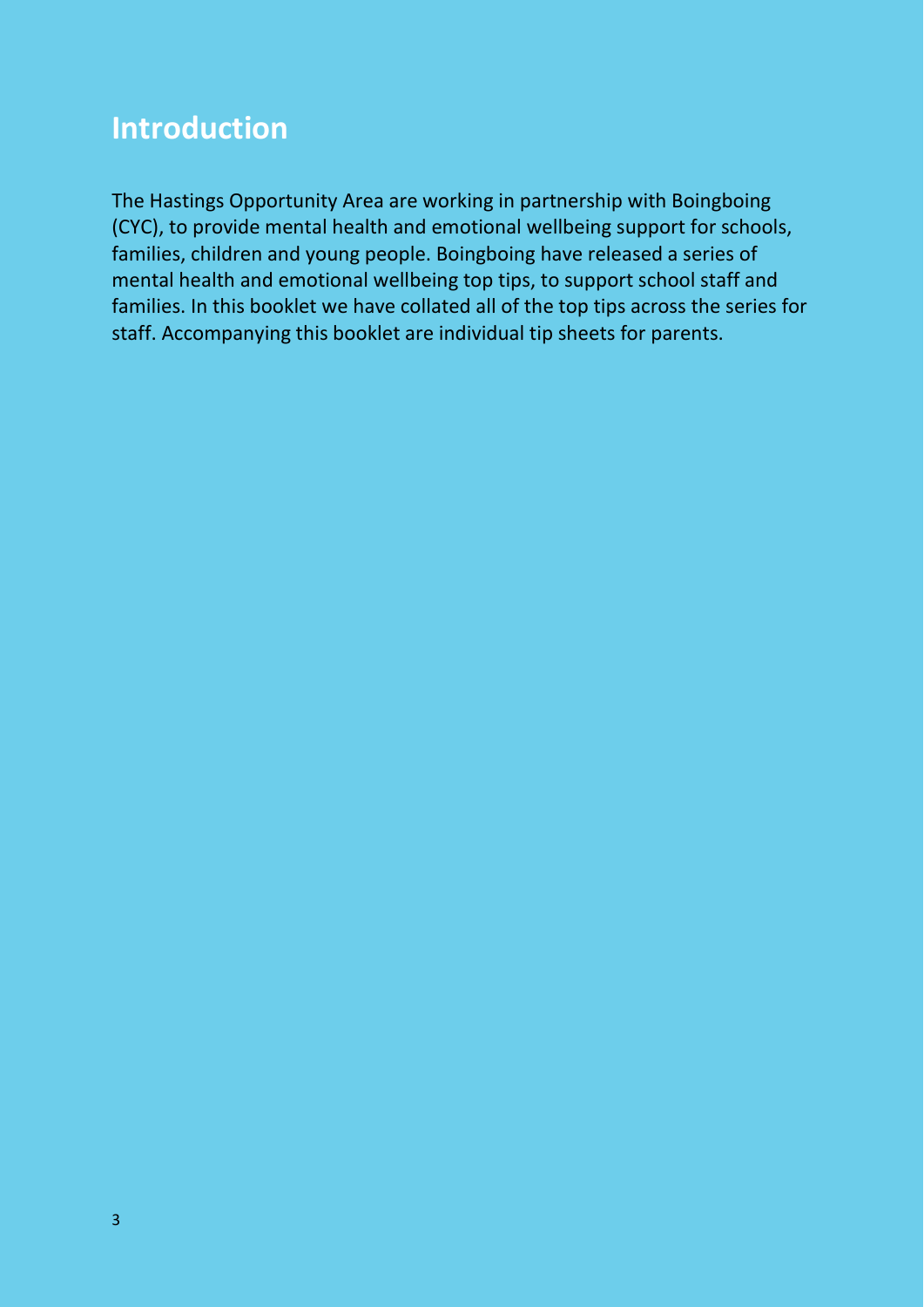#### **Introduction**

The Hastings Opportunity Area are working in partnership with Boingboing (CYC), to provide mental health and emotional wellbeing support for schools, families, children and young people. Boingboing have released a series of mental health and emotional wellbeing top tips, to support school staff and families. In this booklet we have collated all of the top tips across the series for staff. Accompanying this booklet are individual tip sheets for parents.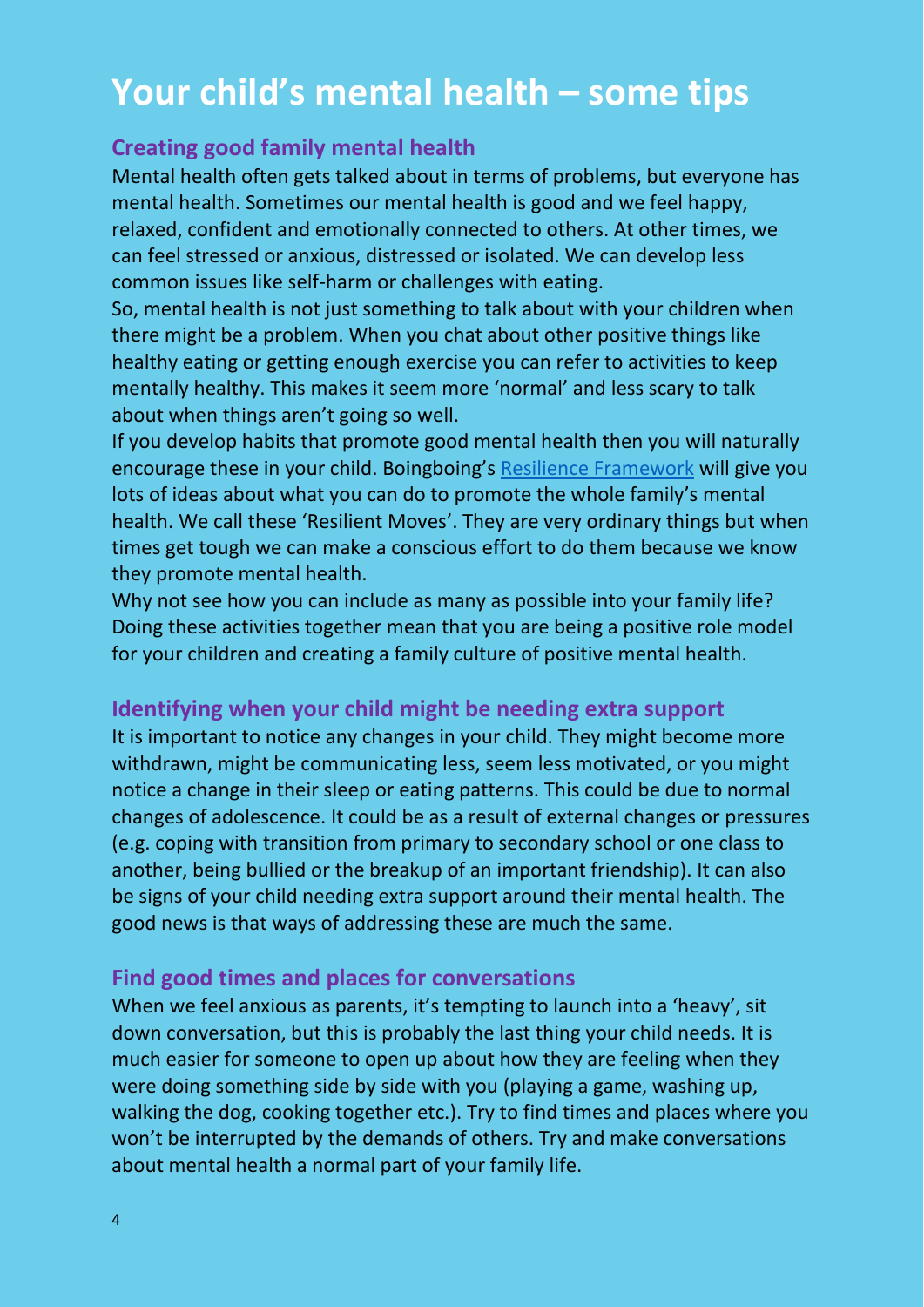### **Your child's mental health – some tips**

#### **Creating good family mental health**

Mental health often gets talked about in terms of problems, but everyone has mental health. Sometimes our mental health is good and we feel happy, relaxed, confident and emotionally connected to others. At other times, we can feel stressed or anxious, distressed or isolated. We can develop less common issues like self-harm or challenges with eating.

So, mental health is not just something to talk about with your children when there might be a problem. When you chat about other positive things like healthy eating or getting enough exercise you can refer to activities to keep mentally healthy. This makes it seem more 'normal' and less scary to talk about when things aren't going so well.

If you develop habits that promote good mental health then you will naturally encourage these in your child. Boingboing's [Resilience Framework](https://www.boingboing.org.uk/resilience/resilient-therapy-resilience-framework/) will give you lots of ideas about what you can do to promote the whole family's mental health. We call these 'Resilient Moves'. They are very ordinary things but when times get tough we can make a conscious effort to do them because we know they promote mental health.

Why not see how you can include as many as possible into your family life? Doing these activities together mean that you are being a positive role model for your children and creating a family culture of positive mental health.

#### **Identifying when your child might be needing extra support**

It is important to notice any changes in your child. They might become more withdrawn, might be communicating less, seem less motivated, or you might notice a change in their sleep or eating patterns. This could be due to normal changes of adolescence. It could be as a result of external changes or pressures (e.g. coping with transition from primary to secondary school or one class to another, being bullied or the breakup of an important friendship). It can also be signs of your child needing extra support around their mental health. The good news is that ways of addressing these are much the same.

#### **Find good times and places for conversations**

When we feel anxious as parents, it's tempting to launch into a 'heavy', sit down conversation, but this is probably the last thing your child needs. It is much easier for someone to open up about how they are feeling when they were doing something side by side with you (playing a game, washing up, walking the dog, cooking together etc.). Try to find times and places where you won't be interrupted by the demands of others. Try and make conversations about mental health a normal part of your family life.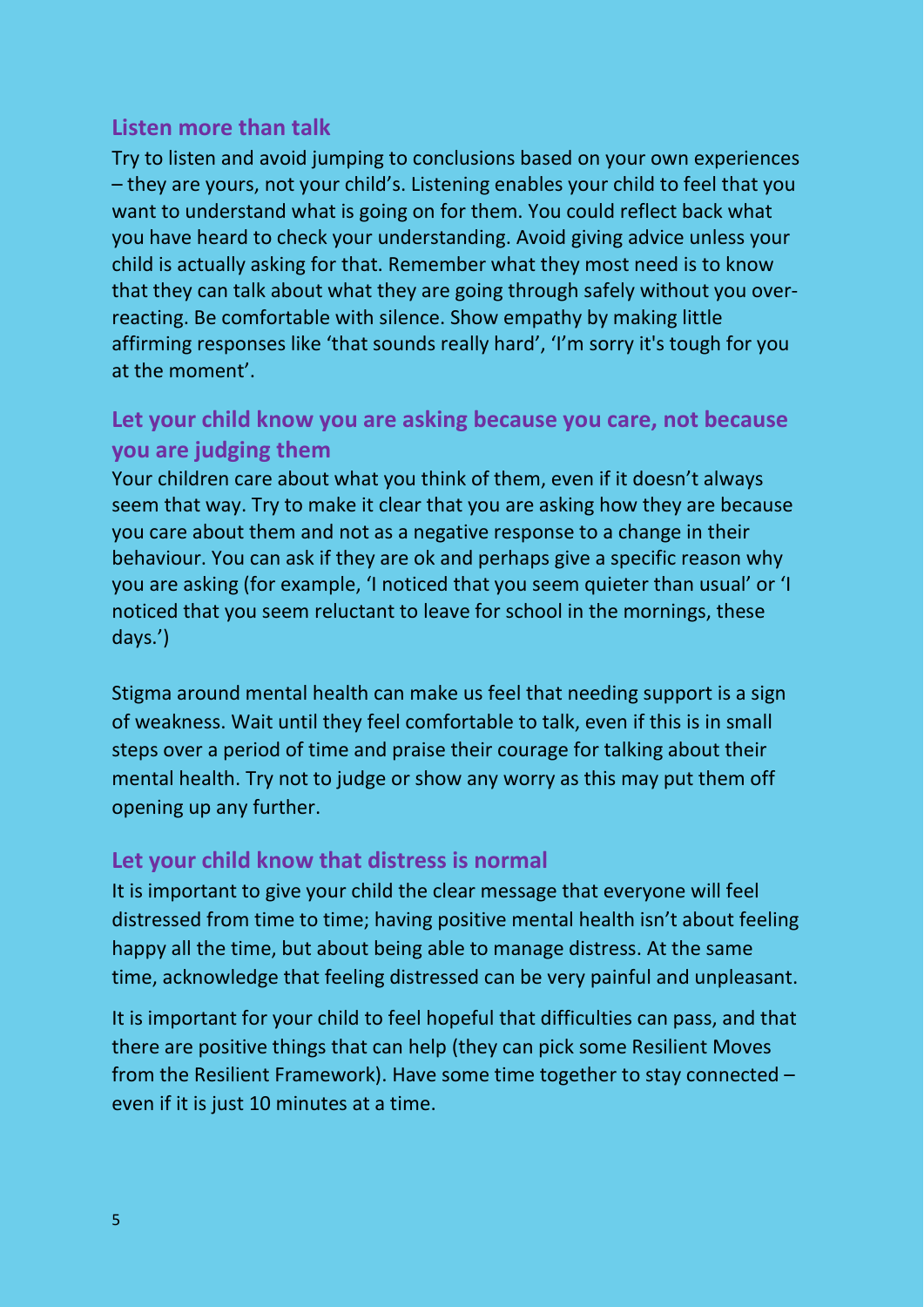#### **Listen more than talk**

Try to listen and avoid jumping to conclusions based on your own experiences – they are yours, not your child's. Listening enables your child to feel that you want to understand what is going on for them. You could reflect back what you have heard to check your understanding. Avoid giving advice unless your child is actually asking for that. Remember what they most need is to know that they can talk about what they are going through safely without you overreacting. Be comfortable with silence. Show empathy by making little affirming responses like 'that sounds really hard', 'I'm sorry it's tough for you at the moment'.

#### **Let your child know you are asking because you care, not because you are judging them**

Your children care about what you think of them, even if it doesn't always seem that way. Try to make it clear that you are asking how they are because you care about them and not as a negative response to a change in their behaviour. You can ask if they are ok and perhaps give a specific reason why you are asking (for example, 'I noticed that you seem quieter than usual' or 'I noticed that you seem reluctant to leave for school in the mornings, these days.')

Stigma around mental health can make us feel that needing support is a sign of weakness. Wait until they feel comfortable to talk, even if this is in small steps over a period of time and praise their courage for talking about their mental health. Try not to judge or show any worry as this may put them off opening up any further.

#### **Let your child know that distress is normal**

It is important to give your child the clear message that everyone will feel distressed from time to time; having positive mental health isn't about feeling happy all the time, but about being able to manage distress. At the same time, acknowledge that feeling distressed can be very painful and unpleasant.

It is important for your child to feel hopeful that difficulties can pass, and that there are positive things that can help (they can pick some Resilient Moves from the Resilient Framework). Have some time together to stay connected – even if it is just 10 minutes at a time.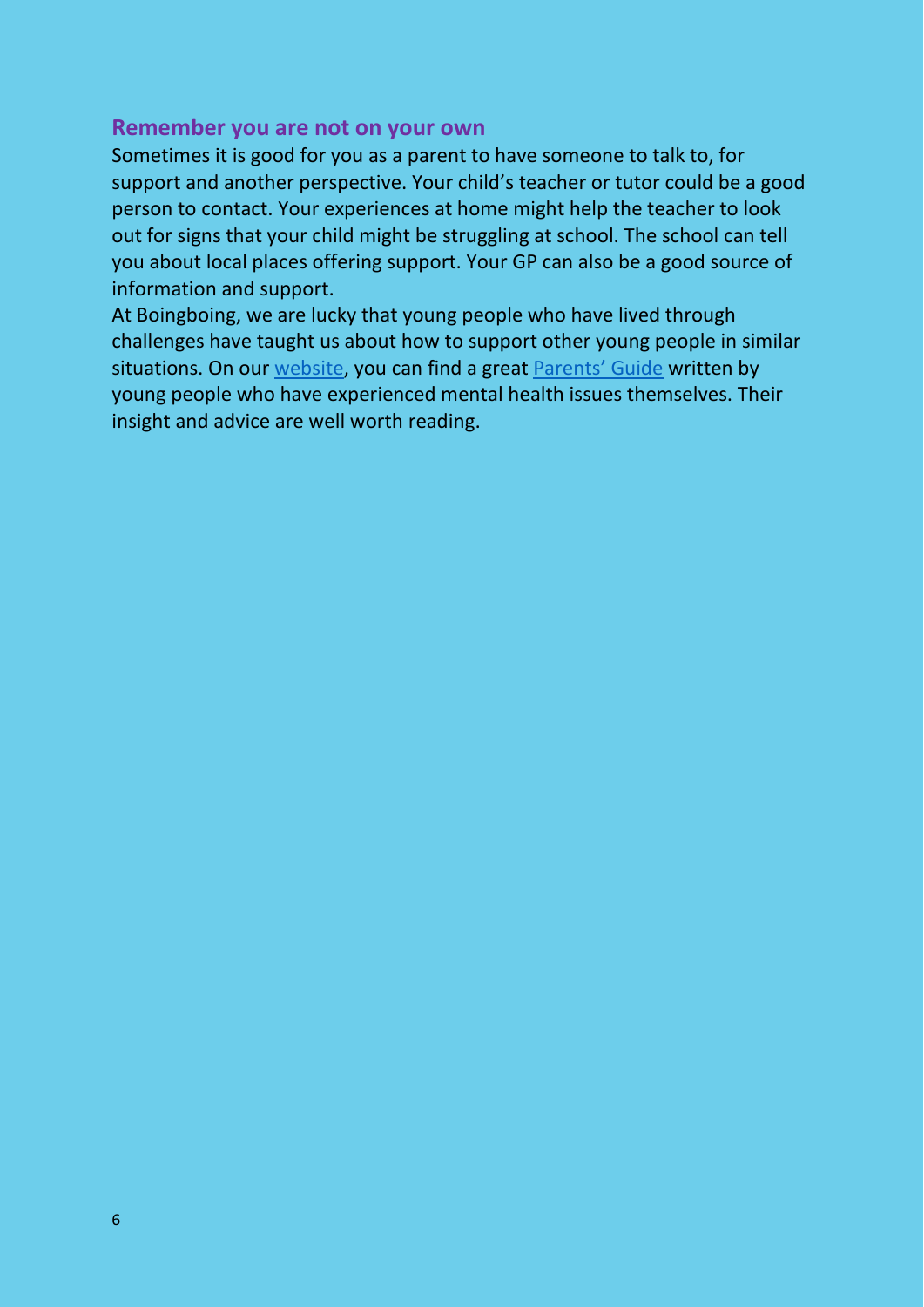#### **Remember you are not on your own**

Sometimes it is good for you as a parent to have someone to talk to, for support and another perspective. Your child's teacher or tutor could be a good person to contact. Your experiences at home might help the teacher to look out for signs that your child might be struggling at school. The school can tell you about local places offering support. Your GP can also be a good source of information and support.

At Boingboing, we are lucky that young people who have lived through challenges have taught us about how to support other young people in similar situations. On our [website, y](https://www.boingboing.org.uk/)ou can find a great [Parents' Guide](https://www.boingboing.org.uk/mental-health-resilient-therapy-toolkit/) written by young people who have experienced mental health issues themselves. Their insight and advice are well worth reading.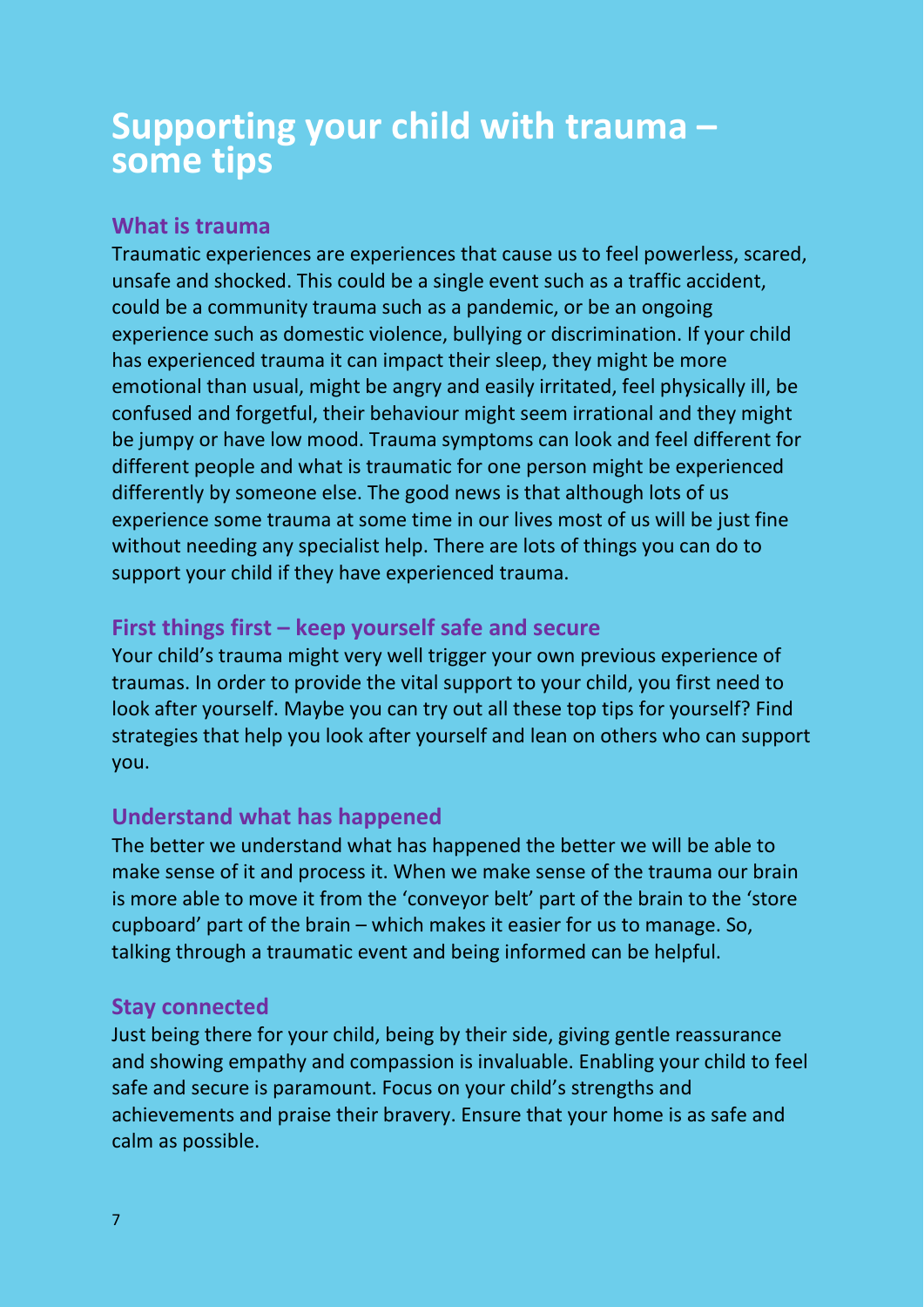## **Supporting your child with trauma – some tips**

#### **What is trauma**

Traumatic experiences are experiences that cause us to feel powerless, scared, unsafe and shocked. This could be a single event such as a traffic accident, could be a community trauma such as a pandemic, or be an ongoing experience such as domestic violence, bullying or discrimination. If your child has experienced trauma it can impact their sleep, they might be more emotional than usual, might be angry and easily irritated, feel physically ill, be confused and forgetful, their behaviour might seem irrational and they might be jumpy or have low mood. Trauma symptoms can look and feel different for different people and what is traumatic for one person might be experienced differently by someone else. The good news is that although lots of us experience some trauma at some time in our lives most of us will be just fine without needing any specialist help. There are lots of things you can do to support your child if they have experienced trauma.

#### **First things first – keep yourself safe and secure**

Your child's trauma might very well trigger your own previous experience of traumas. In order to provide the vital support to your child, you first need to look after yourself. Maybe you can try out all these top tips for yourself? Find strategies that help you look after yourself and lean on others who can support you.

#### **Understand what has happened**

The better we understand what has happened the better we will be able to make sense of it and process it. When we make sense of the trauma our brain is more able to move it from the 'conveyor belt' part of the brain to the 'store cupboard' part of the brain – which makes it easier for us to manage. So, talking through a traumatic event and being informed can be helpful.

#### **Stay connected**

Just being there for your child, being by their side, giving gentle reassurance and showing empathy and compassion is invaluable. Enabling your child to feel safe and secure is paramount. Focus on your child's strengths and achievements and praise their bravery. Ensure that your home is as safe and calm as possible.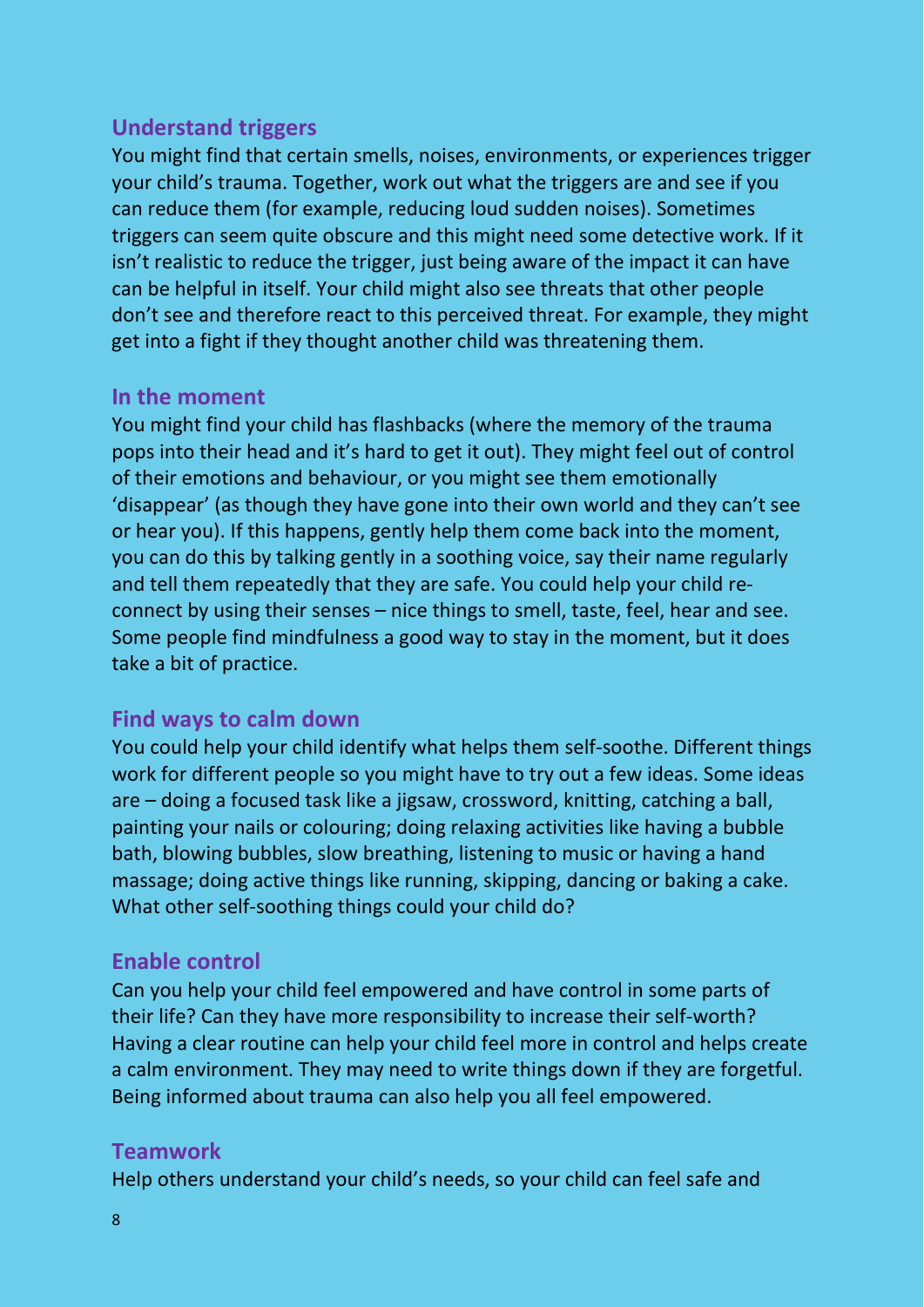#### **Understand triggers**

You might find that certain smells, noises, environments, or experiences trigger your child's trauma. Together, work out what the triggers are and see if you can reduce them (for example, reducing loud sudden noises). Sometimes triggers can seem quite obscure and this might need some detective work. If it isn't realistic to reduce the trigger, just being aware of the impact it can have can be helpful in itself. Your child might also see threats that other people don't see and therefore react to this perceived threat. For example, they might get into a fight if they thought another child was threatening them.

#### **In the moment**

You might find your child has flashbacks (where the memory of the trauma pops into their head and it's hard to get it out). They might feel out of control of their emotions and behaviour, or you might see them emotionally 'disappear' (as though they have gone into their own world and they can't see or hear you). If this happens, gently help them come back into the moment, you can do this by talking gently in a soothing voice, say their name regularly and tell them repeatedly that they are safe. You could help your child reconnect by using their senses – nice things to smell, taste, feel, hear and see. Some people find mindfulness a good way to stay in the moment, but it does take a bit of practice.

#### **Find ways to calm down**

You could help your child identify what helps them self-soothe. Different things work for different people so you might have to try out a few ideas. Some ideas are – doing a focused task like a jigsaw, crossword, knitting, catching a ball, painting your nails or colouring; doing relaxing activities like having a bubble bath, blowing bubbles, slow breathing, listening to music or having a hand massage; doing active things like running, skipping, dancing or baking a cake. What other self-soothing things could your child do?

#### **Enable control**

Can you help your child feel empowered and have control in some parts of their life? Can they have more responsibility to increase their self-worth? Having a clear routine can help your child feel more in control and helps create a calm environment. They may need to write things down if they are forgetful. Being informed about trauma can also help you all feel empowered.

#### **Teamwork**

Help others understand your child's needs, so your child can feel safe and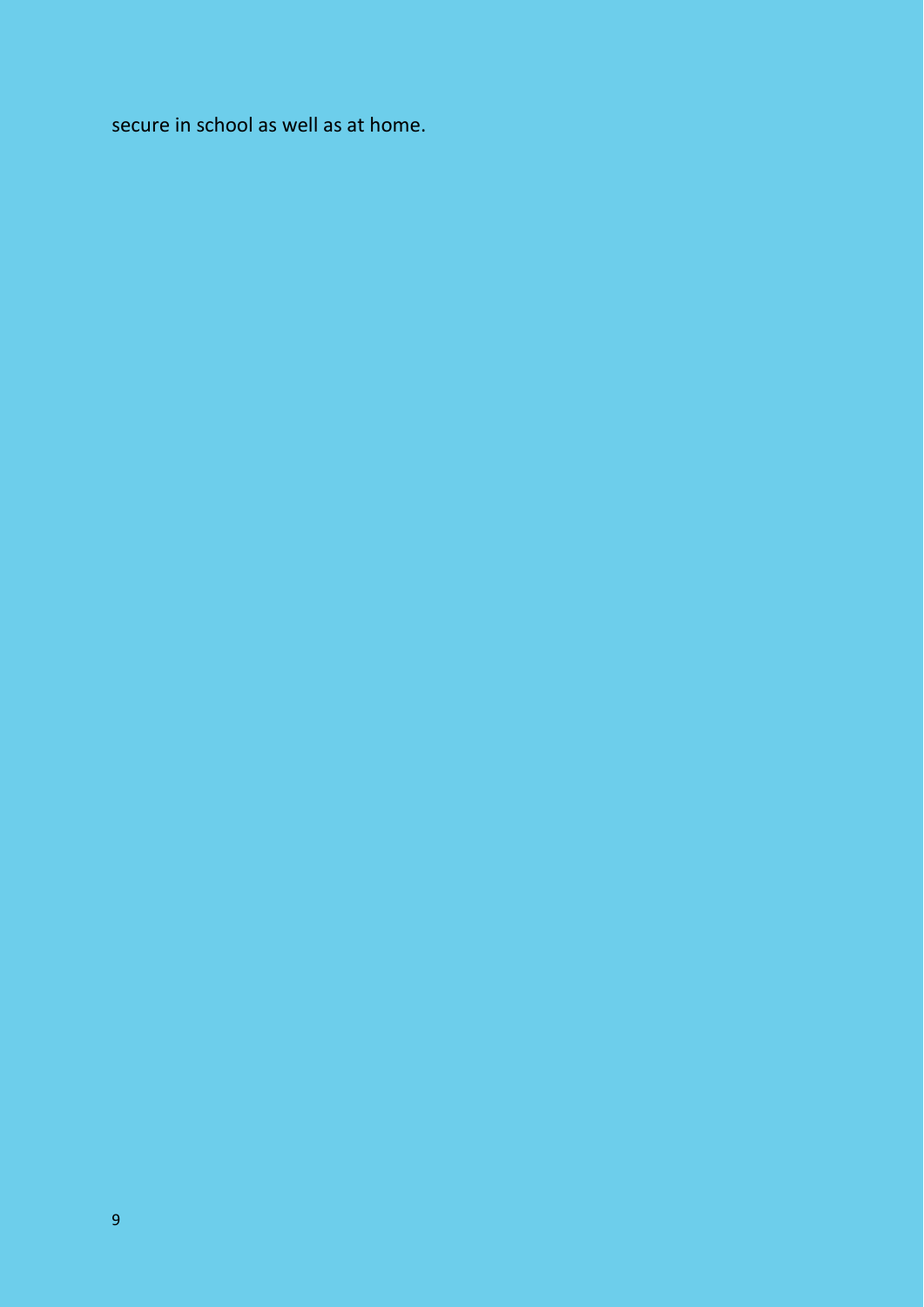secure in school as well as at home.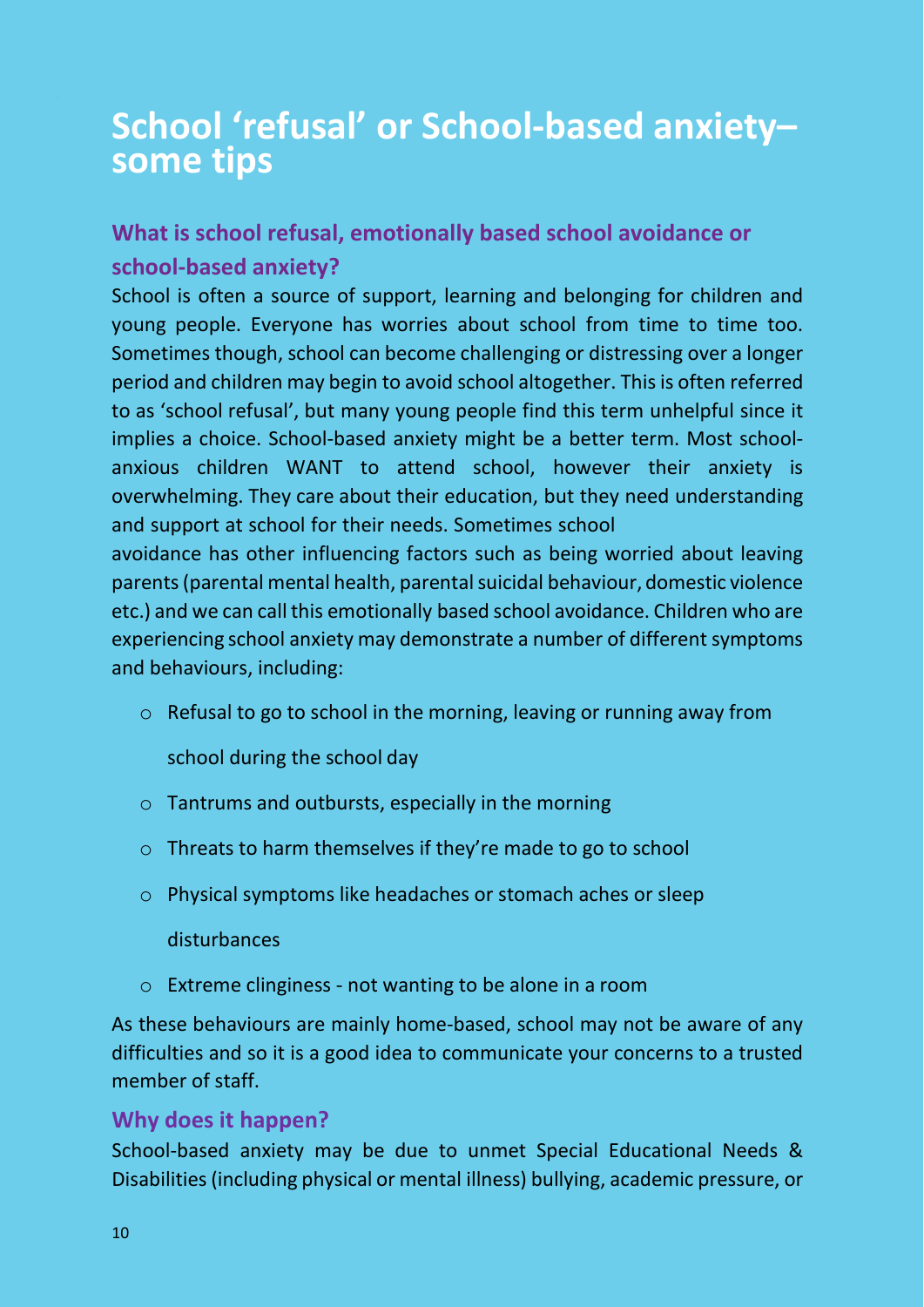## **School 'refusal' or School-based anxiety– some tips**

#### **What is school refusal, emotionally based school avoidance or school-based anxiety?**

School is often a source of support, learning and belonging for children and young people. Everyone has worries about school from time to time too. Sometimes though, school can become challenging or distressing over a longer period and children may begin to avoid school altogether. Thisis often referred to as 'school refusal', but many young people find this term unhelpful since it implies a choice. School-based anxiety might be a better term. Most schoolanxious children WANT to attend school, however their anxiety is overwhelming. They care about their education, but they need understanding and support at school for their needs. Sometimes school

avoidance has other influencing factors such as being worried about leaving parents (parental mental health, parental suicidal behaviour, domestic violence etc.) and we can call this emotionally based school avoidance. Children who are experiencing school anxiety may demonstrate a number of different symptoms and behaviours, including:

o Refusal to go to school in the morning, leaving or running away from

school during the school day

- $\circ$  Tantrums and outbursts, especially in the morning
- o Threats to harm themselves if they're made to go to school
- o Physical symptoms like headaches or stomach aches or sleep

#### disturbances

o Extreme clinginess - not wanting to be alone in a room

As these behaviours are mainly home-based, school may not be aware of any difficulties and so it is a good idea to communicate your concerns to a trusted member of staff.

#### **Why does it happen?**

School-based anxiety may be due to unmet Special Educational Needs & Disabilities(including physical or mental illness) bullying, academic pressure, or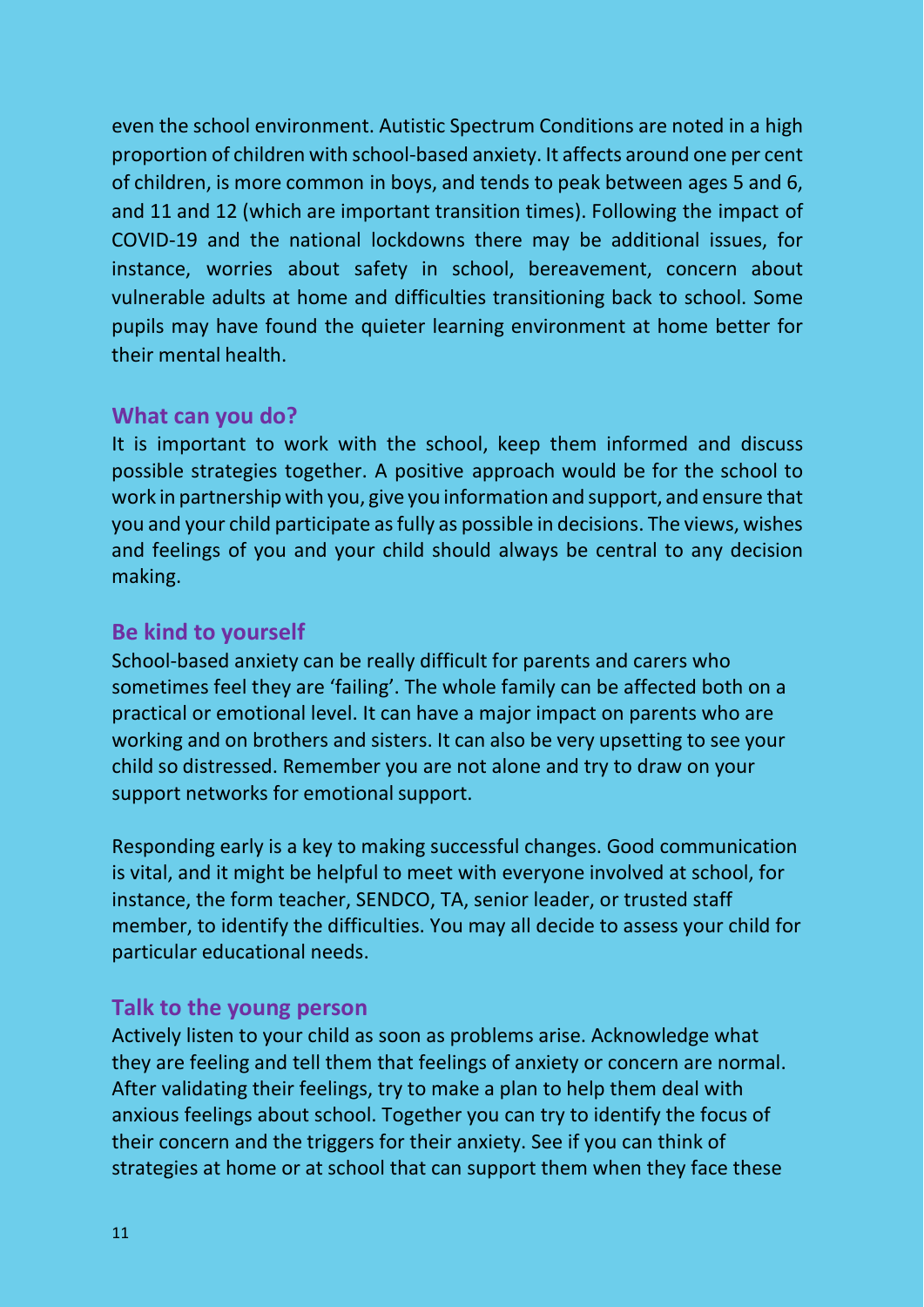even the school environment. Autistic Spectrum Conditions are noted in a high proportion of children with school-based anxiety. It affects around one per cent of children, is more common in boys, and tends to peak between ages 5 and 6, and 11 and 12 (which are important transition times). Following the impact of COVID-19 and the national lockdowns there may be additional issues, for instance, worries about safety in school, bereavement, concern about vulnerable adults at home and difficulties transitioning back to school. Some pupils may have found the quieter learning environment at home better for their mental health.

#### **What can you do?**

It is important to work with the school, keep them informed and discuss possible strategies together. A positive approach would be for the school to work in partnership with you, give you information and support, and ensure that you and your child participate as fully as possible in decisions. The views, wishes and feelings of you and your child should always be central to any decision making.

#### **Be kind to yourself**

School-based anxiety can be really difficult for parents and carers who sometimes feel they are 'failing'. The whole family can be affected both on a practical or emotional level. It can have a major impact on parents who are working and on brothers and sisters. It can also be very upsetting to see your child so distressed. Remember you are not alone and try to draw on your support networks for emotional support.

Responding early is a key to making successful changes. Good communication is vital, and it might be helpful to meet with everyone involved at school, for instance, the form teacher, SENDCO, TA, senior leader, or trusted staff member, to identify the difficulties. You may all decide to assess your child for particular educational needs.

#### **Talk to the young person**

Actively listen to your child as soon as problems arise. Acknowledge what they are feeling and tell them that feelings of anxiety or concern are normal. After validating their feelings, try to make a plan to help them deal with anxious feelings about school. Together you can try to identify the focus of their concern and the triggers for their anxiety. See if you can think of strategies at home or at school that can support them when they face these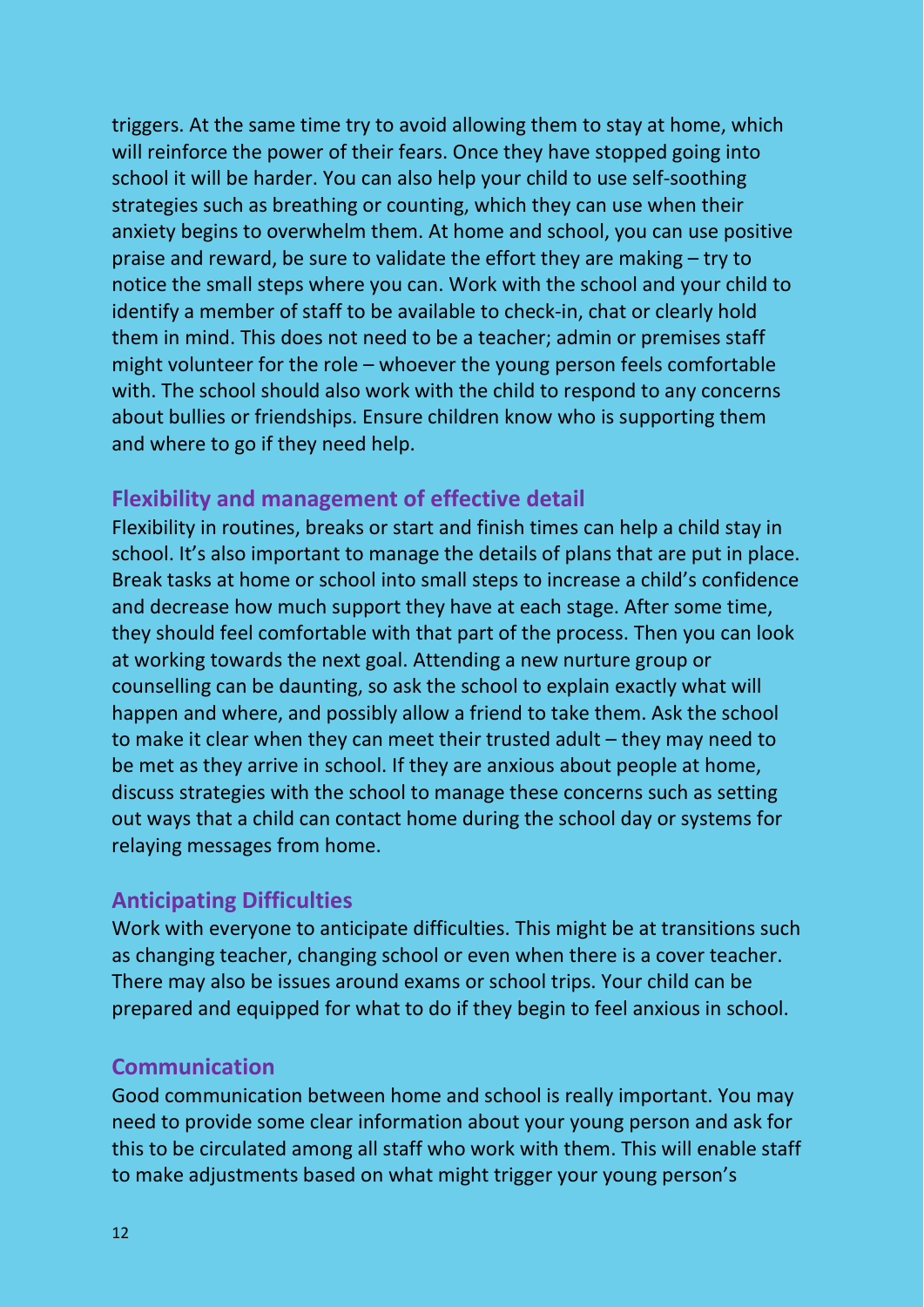triggers. At the same time try to avoid allowing them to stay at home, which will reinforce the power of their fears. Once they have stopped going into school it will be harder. You can also help your child to use self-soothing strategies such as breathing or counting, which they can use when their anxiety begins to overwhelm them. At home and school, you can use positive praise and reward, be sure to validate the effort they are making – try to notice the small steps where you can. Work with the school and your child to identify a member of staff to be available to check-in, chat or clearly hold them in mind. This does not need to be a teacher; admin or premises staff might volunteer for the role – whoever the young person feels comfortable with. The school should also work with the child to respond to any concerns about bullies or friendships. Ensure children know who is supporting them and where to go if they need help.

#### **Flexibility and management of effective detail**

Flexibility in routines, breaks or start and finish times can help a child stay in school. It's also important to manage the details of plans that are put in place. Break tasks at home or school into small steps to increase a child's confidence and decrease how much support they have at each stage. After some time, they should feel comfortable with that part of the process. Then you can look at working towards the next goal. Attending a new nurture group or counselling can be daunting, so ask the school to explain exactly what will happen and where, and possibly allow a friend to take them. Ask the school to make it clear when they can meet their trusted adult – they may need to be met as they arrive in school. If they are anxious about people at home, discuss strategies with the school to manage these concerns such as setting out ways that a child can contact home during the school day or systems for relaying messages from home.

#### **Anticipating Difficulties**

Work with everyone to anticipate difficulties. This might be at transitions such as changing teacher, changing school or even when there is a cover teacher. There may also be issues around exams or school trips. Your child can be prepared and equipped for what to do if they begin to feel anxious in school.

#### **Communication**

Good communication between home and school is really important. You may need to provide some clear information about your young person and ask for this to be circulated among all staff who work with them. This will enable staff to make adjustments based on what might trigger your young person's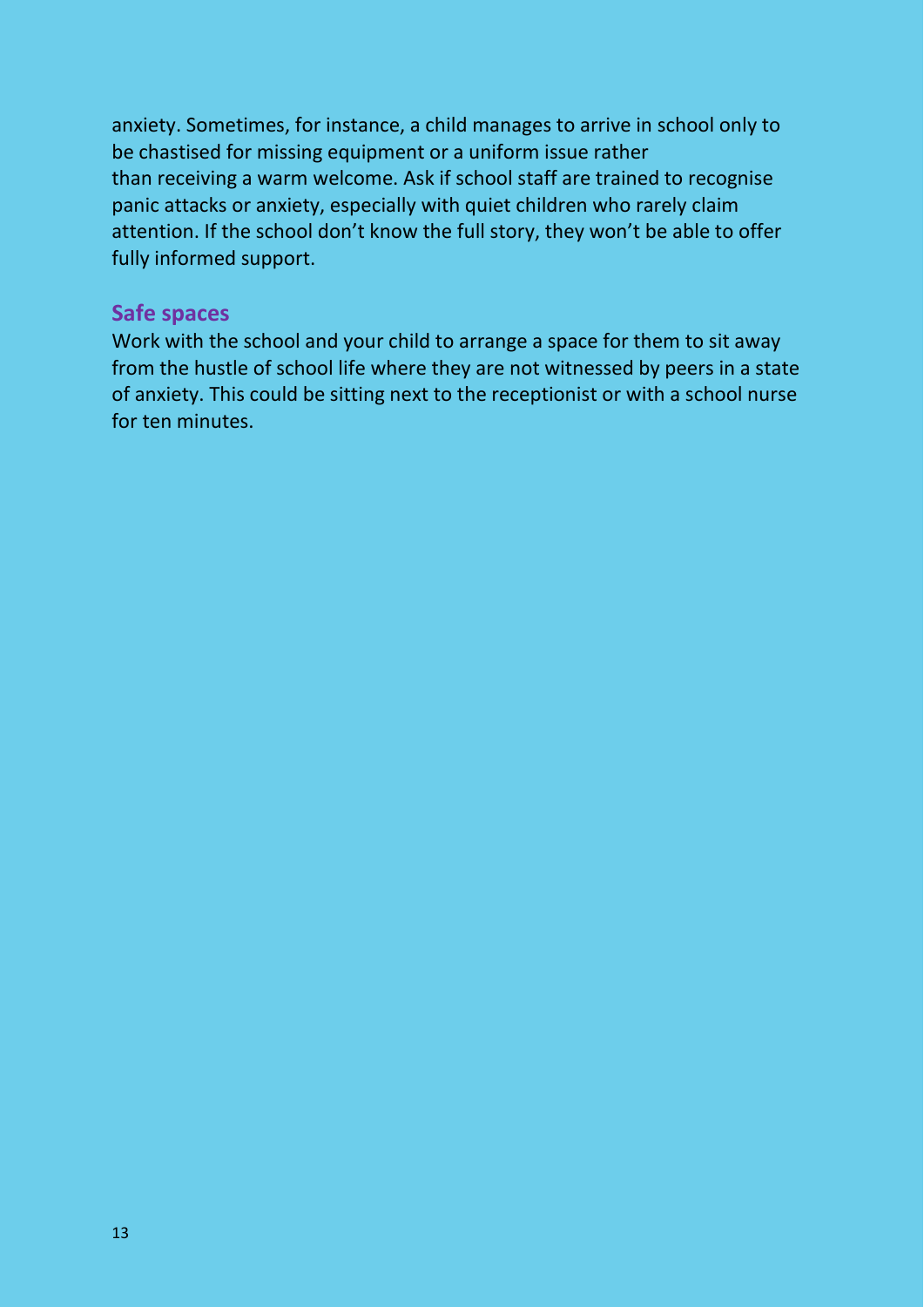anxiety. Sometimes, for instance, a child manages to arrive in school only to be chastised for missing equipment or a uniform issue rather than receiving a warm welcome. Ask if school staff are trained to recognise panic attacks or anxiety, especially with quiet children who rarely claim attention. If the school don't know the full story, they won't be able to offer fully informed support.

#### **Safe spaces**

Work with the school and your child to arrange a space for them to sit away from the hustle of school life where they are not witnessed by peers in a state of anxiety. This could be sitting next to the receptionist or with a school nurse for ten minutes.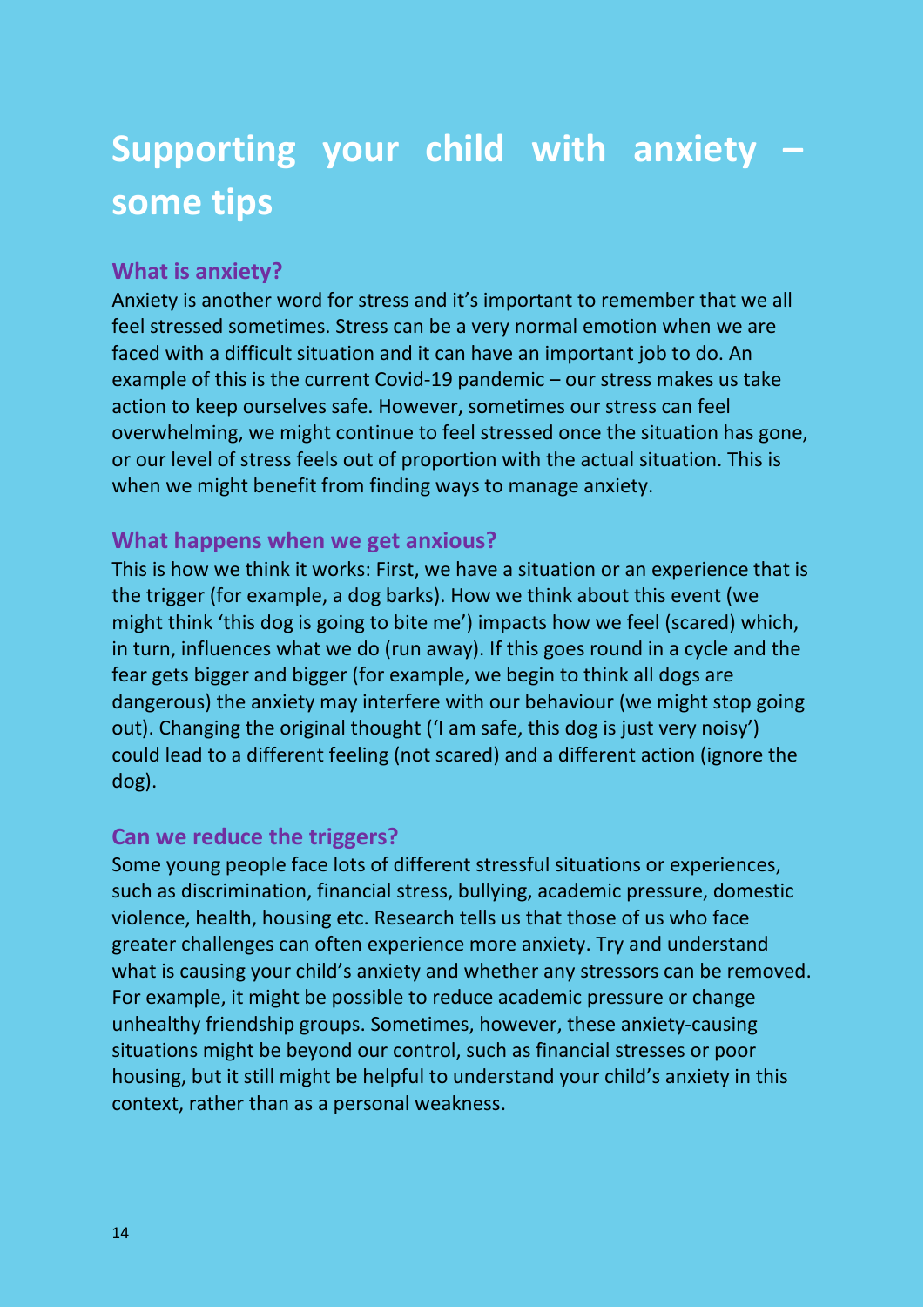## **Supporting your child with anxiety – some tips**

#### **What is anxiety?**

Anxiety is another word for stress and it's important to remember that we all feel stressed sometimes. Stress can be a very normal emotion when we are faced with a difficult situation and it can have an important job to do. An example of this is the current Covid-19 pandemic – our stress makes us take action to keep ourselves safe. However, sometimes our stress can feel overwhelming, we might continue to feel stressed once the situation has gone, or our level of stress feels out of proportion with the actual situation. This is when we might benefit from finding ways to manage anxiety.

#### **What happens when we get anxious?**

This is how we think it works: First, we have a situation or an experience that is the trigger (for example, a dog barks). How we think about this event (we might think 'this dog is going to bite me') impacts how we feel (scared) which, in turn, influences what we do (run away). If this goes round in a cycle and the fear gets bigger and bigger (for example, we begin to think all dogs are dangerous) the anxiety may interfere with our behaviour (we might stop going out). Changing the original thought ('I am safe, this dog is just very noisy') could lead to a different feeling (not scared) and a different action (ignore the dog).

#### **Can we reduce the triggers?**

Some young people face lots of different stressful situations or experiences, such as discrimination, financial stress, bullying, academic pressure, domestic violence, health, housing etc. Research tells us that those of us who face greater challenges can often experience more anxiety. Try and understand what is causing your child's anxiety and whether any stressors can be removed. For example, it might be possible to reduce academic pressure or change unhealthy friendship groups. Sometimes, however, these anxiety-causing situations might be beyond our control, such as financial stresses or poor housing, but it still might be helpful to understand your child's anxiety in this context, rather than as a personal weakness.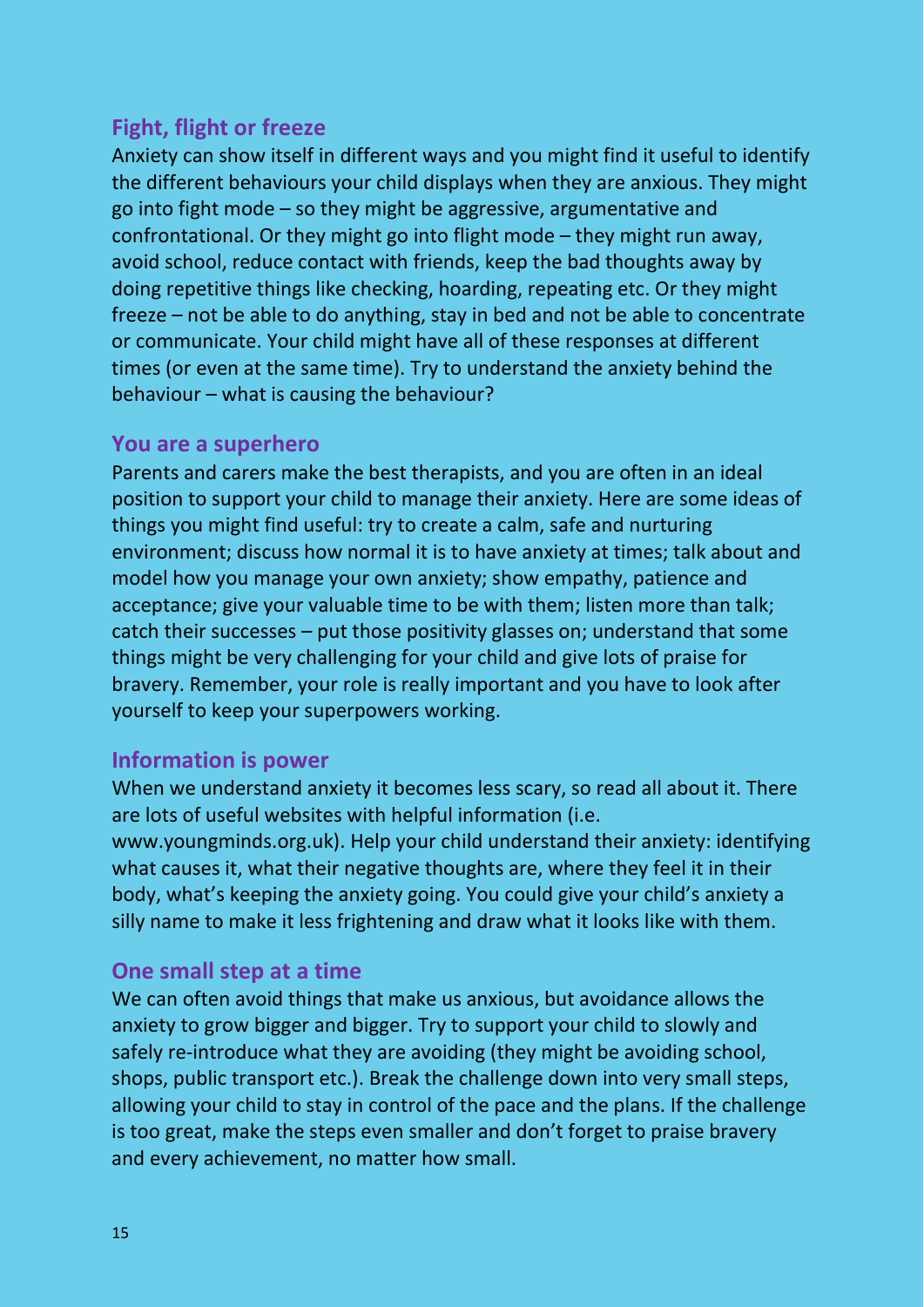#### **Fight, flight or freeze**

Anxiety can show itself in different ways and you might find it useful to identify the different behaviours your child displays when they are anxious. They might go into fight mode – so they might be aggressive, argumentative and confrontational. Or they might go into flight mode – they might run away, avoid school, reduce contact with friends, keep the bad thoughts away by doing repetitive things like checking, hoarding, repeating etc. Or they might freeze – not be able to do anything, stay in bed and not be able to concentrate or communicate. Your child might have all of these responses at different times (or even at the same time). Try to understand the anxiety behind the behaviour – what is causing the behaviour?

#### **You are a superhero**

Parents and carers make the best therapists, and you are often in an ideal position to support your child to manage their anxiety. Here are some ideas of things you might find useful: try to create a calm, safe and nurturing environment; discuss how normal it is to have anxiety at times; talk about and model how you manage your own anxiety; show empathy, patience and acceptance; give your valuable time to be with them; listen more than talk; catch their successes – put those positivity glasses on; understand that some things might be very challenging for your child and give lots of praise for bravery. Remember, your role is really important and you have to look after yourself to keep your superpowers working.

#### **Information is power**

When we understand anxiety it becomes less scary, so read all about it. There are lots of useful websites with helpful information (i.e. www.youngminds.org.uk). Help your child understand their anxiety: identifying what causes it, what their negative thoughts are, where they feel it in their body, what's keeping the anxiety going. You could give your child's anxiety a silly name to make it less frightening and draw what it looks like with them.

#### **One small step at a time**

We can often avoid things that make us anxious, but avoidance allows the anxiety to grow bigger and bigger. Try to support your child to slowly and safely re-introduce what they are avoiding (they might be avoiding school, shops, public transport etc.). Break the challenge down into very small steps, allowing your child to stay in control of the pace and the plans. If the challenge is too great, make the steps even smaller and don't forget to praise bravery and every achievement, no matter how small.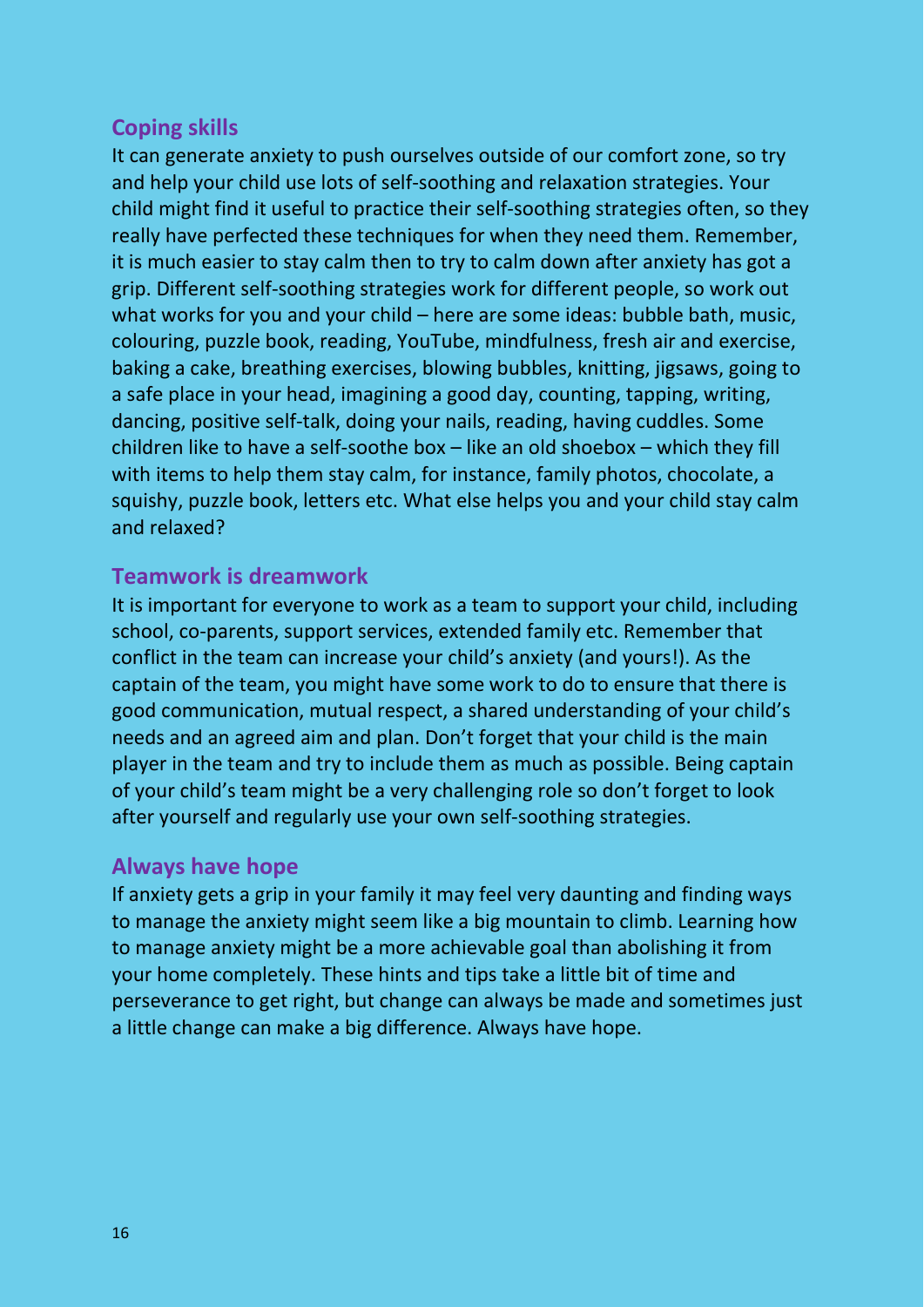#### **Coping skills**

It can generate anxiety to push ourselves outside of our comfort zone, so try and help your child use lots of self-soothing and relaxation strategies. Your child might find it useful to practice their self-soothing strategies often, so they really have perfected these techniques for when they need them. Remember, it is much easier to stay calm then to try to calm down after anxiety has got a grip. Different self-soothing strategies work for different people, so work out what works for you and your child – here are some ideas: bubble bath, music, colouring, puzzle book, reading, YouTube, mindfulness, fresh air and exercise, baking a cake, breathing exercises, blowing bubbles, knitting, jigsaws, going to a safe place in your head, imagining a good day, counting, tapping, writing, dancing, positive self-talk, doing your nails, reading, having cuddles. Some children like to have a self-soothe box – like an old shoebox – which they fill with items to help them stay calm, for instance, family photos, chocolate, a squishy, puzzle book, letters etc. What else helps you and your child stay calm and relaxed?

#### **Teamwork is dreamwork**

It is important for everyone to work as a team to support your child, including school, co-parents, support services, extended family etc. Remember that conflict in the team can increase your child's anxiety (and yours!). As the captain of the team, you might have some work to do to ensure that there is good communication, mutual respect, a shared understanding of your child's needs and an agreed aim and plan. Don't forget that your child is the main player in the team and try to include them as much as possible. Being captain of your child's team might be a very challenging role so don't forget to look after yourself and regularly use your own self-soothing strategies.

#### **Always have hope**

If anxiety gets a grip in your family it may feel very daunting and finding ways to manage the anxiety might seem like a big mountain to climb. Learning how to manage anxiety might be a more achievable goal than abolishing it from your home completely. These hints and tips take a little bit of time and perseverance to get right, but change can always be made and sometimes just a little change can make a big difference. Always have hope.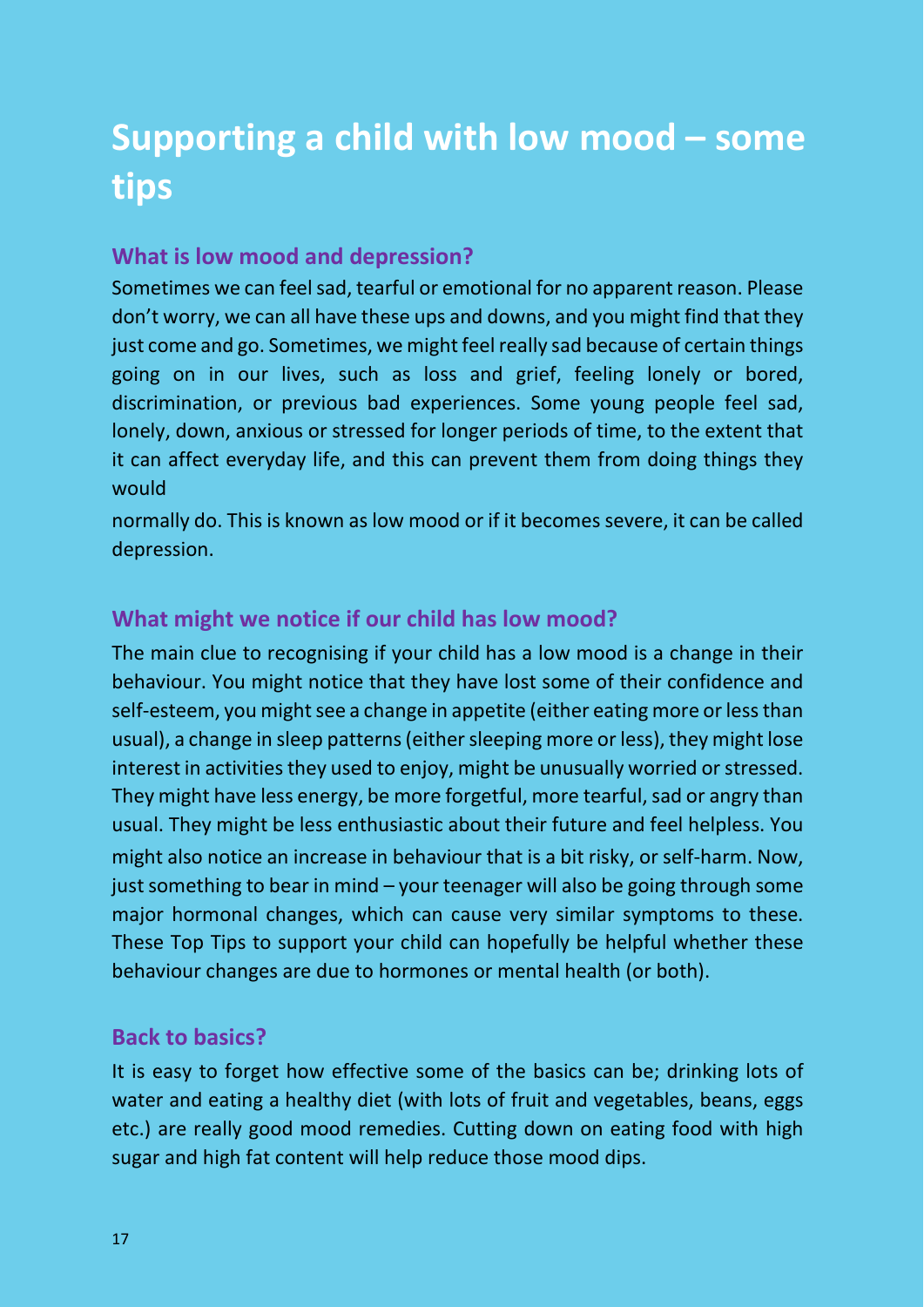## **Supporting a child with low mood – some tips**

#### **What is low mood and depression?**

Sometimes we can feel sad, tearful or emotional for no apparent reason. Please don't worry, we can all have these ups and downs, and you might find that they just come and go. Sometimes, we might feel really sad because of certain things going on in our lives, such as loss and grief, feeling lonely or bored, discrimination, or previous bad experiences. Some young people feel sad, lonely, down, anxious or stressed for longer periods of time, to the extent that it can affect everyday life, and this can prevent them from doing things they would

normally do. This is known as low mood or if it becomes severe, it can be called depression.

#### **What might we notice if our child has low mood?**

The main clue to recognising if your child has a low mood is a change in their behaviour. You might notice that they have lost some of their confidence and self-esteem, you might see a change in appetite (either eating more or less than usual), a change in sleep patterns (either sleeping more or less), they might lose interest in activities they used to enjoy, might be unusually worried or stressed. They might have less energy, be more forgetful, more tearful, sad or angry than usual. They might be less enthusiastic about their future and feel helpless. You might also notice an increase in behaviour that is a bit risky, or self-harm. Now, just something to bear in mind – your teenager will also be going through some major hormonal changes, which can cause very similar symptoms to these. These Top Tips to support your child can hopefully be helpful whether these behaviour changes are due to hormones or mental health (or both).

#### **Back to basics?**

It is easy to forget how effective some of the basics can be; drinking lots of water and eating a healthy diet (with lots of fruit and vegetables, beans, eggs etc.) are really good mood remedies. Cutting down on eating food with high sugar and high fat content will help reduce those mood dips.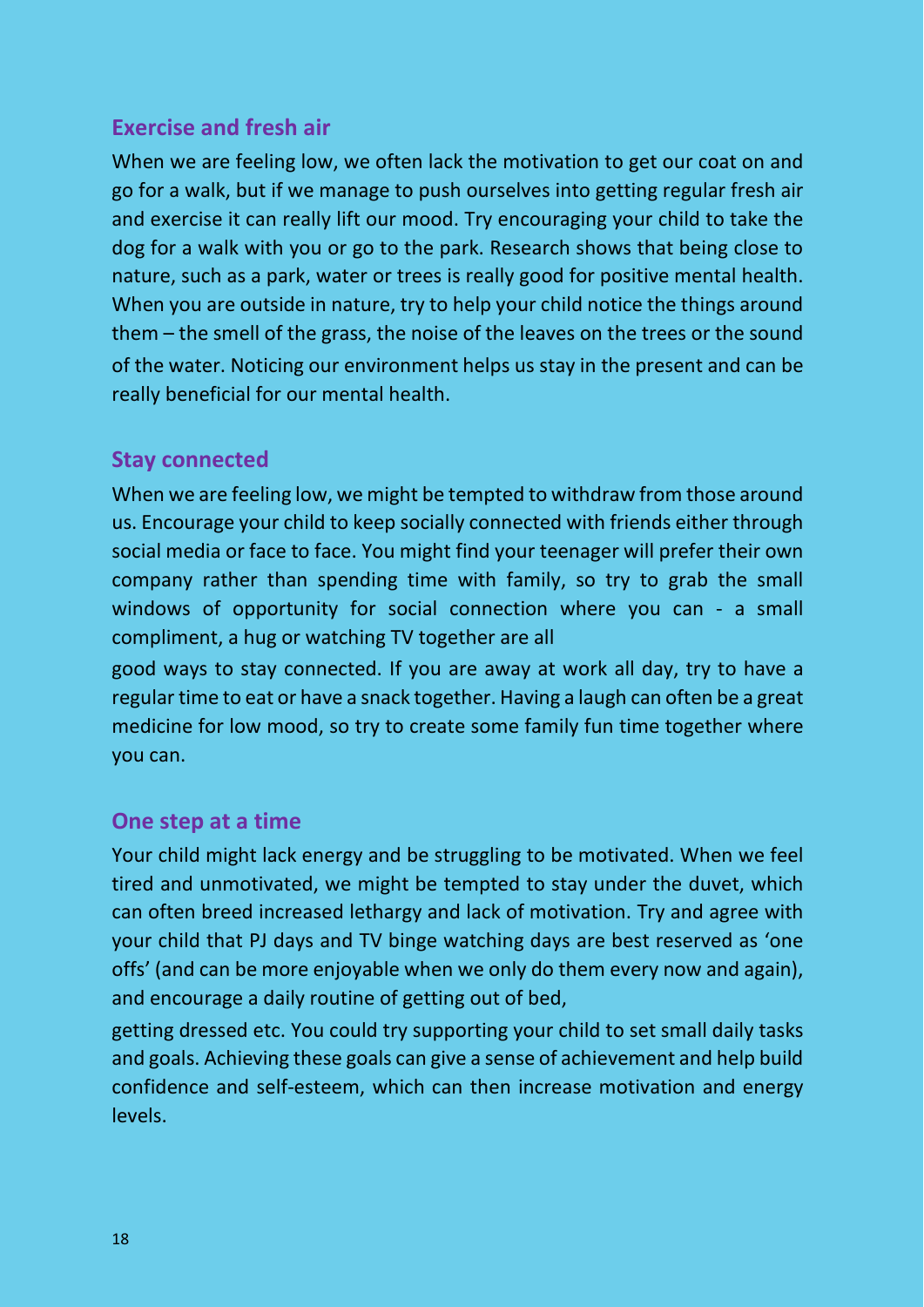#### **Exercise and fresh air**

When we are feeling low, we often lack the motivation to get our coat on and go for a walk, but if we manage to push ourselves into getting regular fresh air and exercise it can really lift our mood. Try encouraging your child to take the dog for a walk with you or go to the park. Research shows that being close to nature, such as a park, water or trees is really good for positive mental health. When you are outside in nature, try to help your child notice the things around them – the smell of the grass, the noise of the leaves on the trees or the sound of the water. Noticing our environment helps us stay in the present and can be really beneficial for our mental health.

#### **Stay connected**

When we are feeling low, we might be tempted to withdraw from those around us. Encourage your child to keep socially connected with friends either through social media or face to face. You might find your teenager will prefer their own company rather than spending time with family, so try to grab the small windows of opportunity for social connection where you can - a small compliment, a hug or watching TV together are all

good ways to stay connected. If you are away at work all day, try to have a regular time to eat or have a snack together. Having a laugh can often be a great medicine for low mood, so try to create some family fun time together where you can.

#### **One step at a time**

Your child might lack energy and be struggling to be motivated. When we feel tired and unmotivated, we might be tempted to stay under the duvet, which can often breed increased lethargy and lack of motivation. Try and agree with your child that PJ days and TV binge watching days are best reserved as 'one offs' (and can be more enjoyable when we only do them every now and again), and encourage a daily routine of getting out of bed,

getting dressed etc. You could try supporting your child to set small daily tasks and goals. Achieving these goals can give a sense of achievement and help build confidence and self-esteem, which can then increase motivation and energy levels.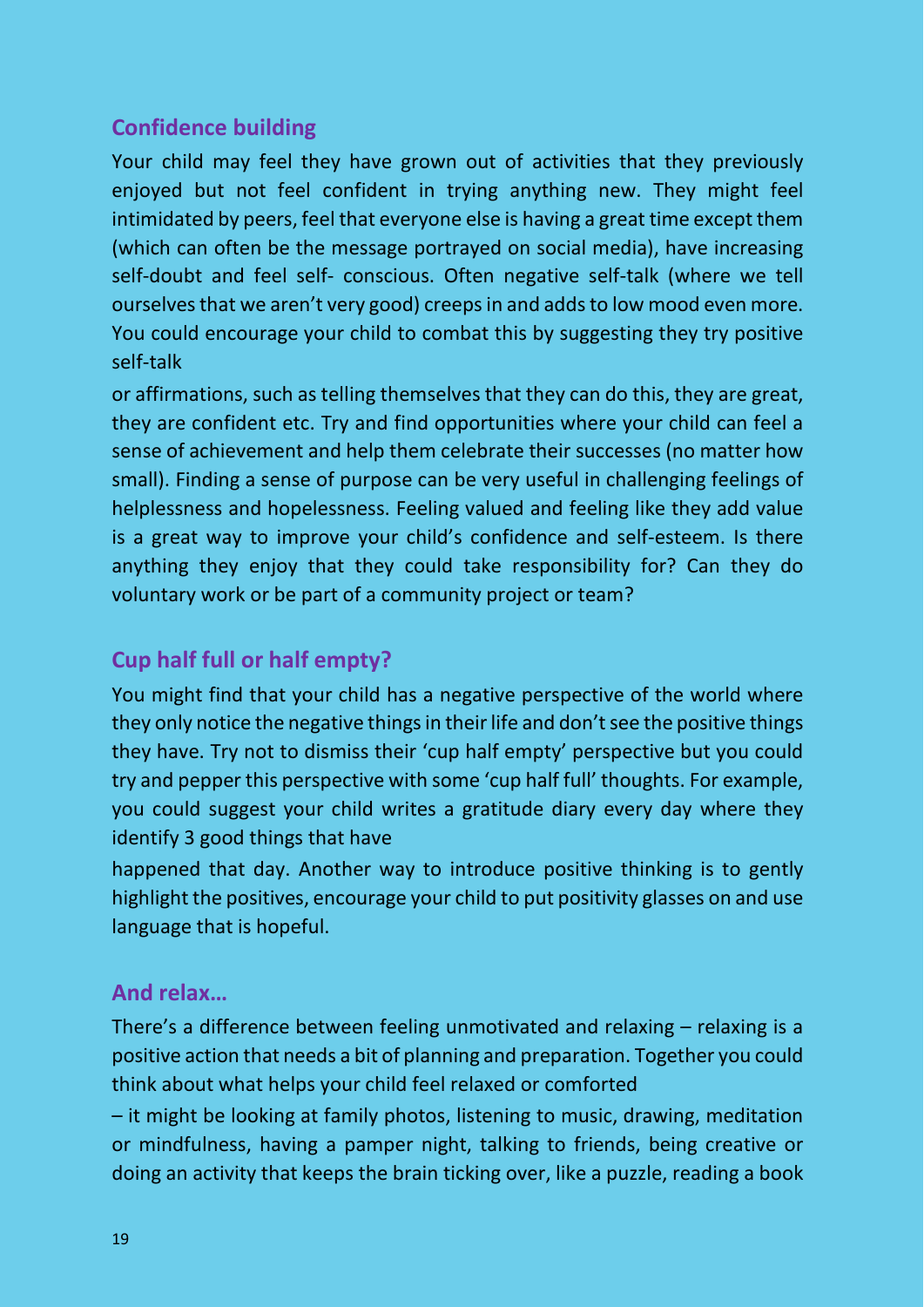#### **Confidence building**

Your child may feel they have grown out of activities that they previously enjoyed but not feel confident in trying anything new. They might feel intimidated by peers, feel that everyone else is having a great time except them (which can often be the message portrayed on social media), have increasing self-doubt and feel self- conscious. Often negative self-talk (where we tell ourselves that we aren't very good) creeps in and adds to low mood even more. You could encourage your child to combat this by suggesting they try positive self-talk

or affirmations, such as telling themselves that they can do this, they are great, they are confident etc. Try and find opportunities where your child can feel a sense of achievement and help them celebrate their successes (no matter how small). Finding a sense of purpose can be very useful in challenging feelings of helplessness and hopelessness. Feeling valued and feeling like they add value is a great way to improve your child's confidence and self-esteem. Is there anything they enjoy that they could take responsibility for? Can they do voluntary work or be part of a community project or team?

#### **Cup half full or half empty?**

You might find that your child has a negative perspective of the world where they only notice the negative things in their life and don't see the positive things they have. Try not to dismiss their 'cup half empty' perspective but you could try and pepper this perspective with some 'cup half full' thoughts. For example, you could suggest your child writes a gratitude diary every day where they identify 3 good things that have

happened that day. Another way to introduce positive thinking is to gently highlight the positives, encourage your child to put positivity glasses on and use language that is hopeful.

#### **And relax…**

There's a difference between feeling unmotivated and relaxing – relaxing is a positive action that needs a bit of planning and preparation. Together you could think about what helps your child feel relaxed or comforted

– it might be looking at family photos, listening to music, drawing, meditation or mindfulness, having a pamper night, talking to friends, being creative or doing an activity that keeps the brain ticking over, like a puzzle, reading a book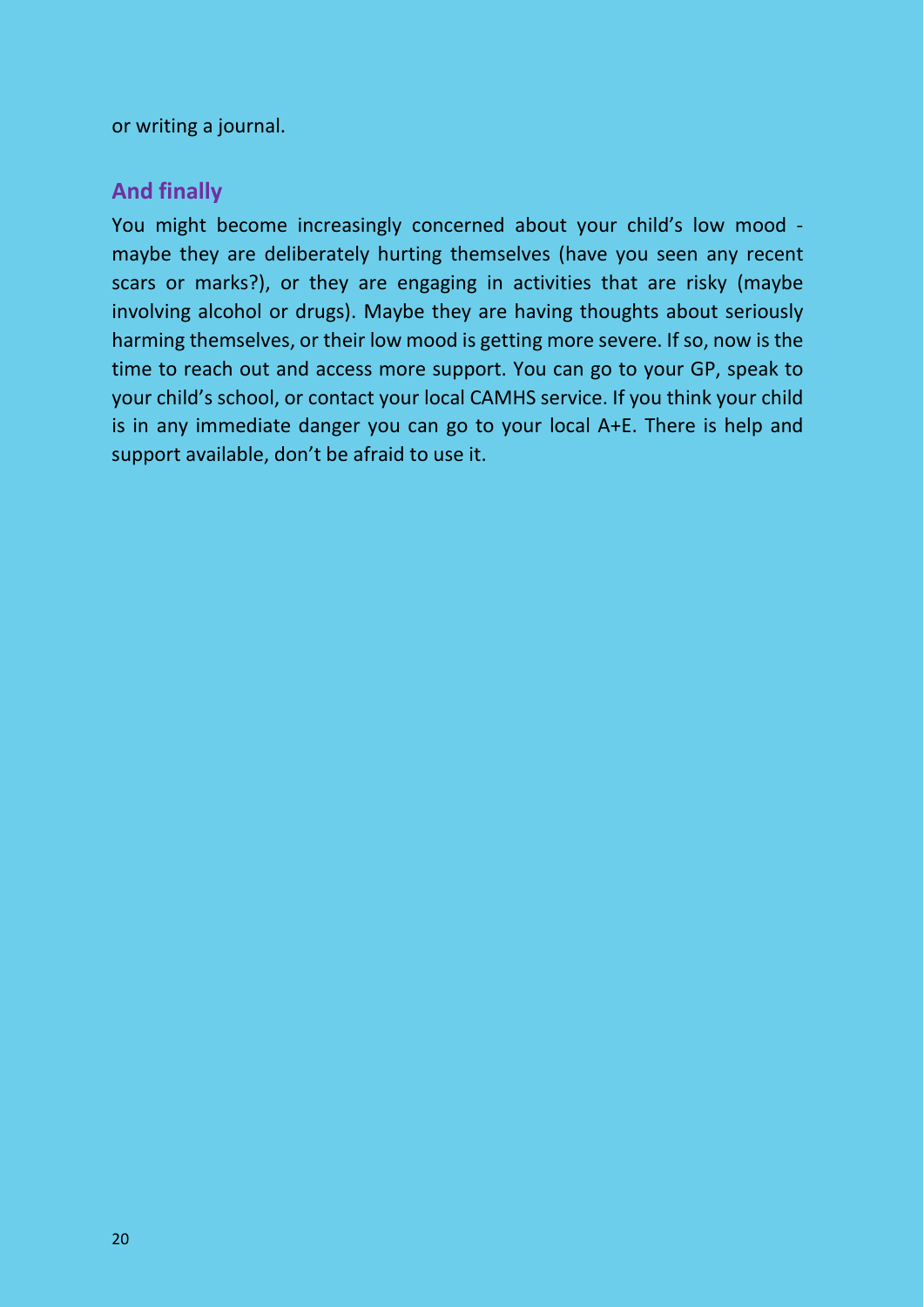or writing a journal.

#### **And finally**

You might become increasingly concerned about your child's low mood maybe they are deliberately hurting themselves (have you seen any recent scars or marks?), or they are engaging in activities that are risky (maybe involving alcohol or drugs). Maybe they are having thoughts about seriously harming themselves, or their low mood is getting more severe. If so, now is the time to reach out and access more support. You can go to your GP, speak to your child's school, or contact your local CAMHS service. If you think your child is in any immediate danger you can go to your local A+E. There is help and support available, don't be afraid to use it.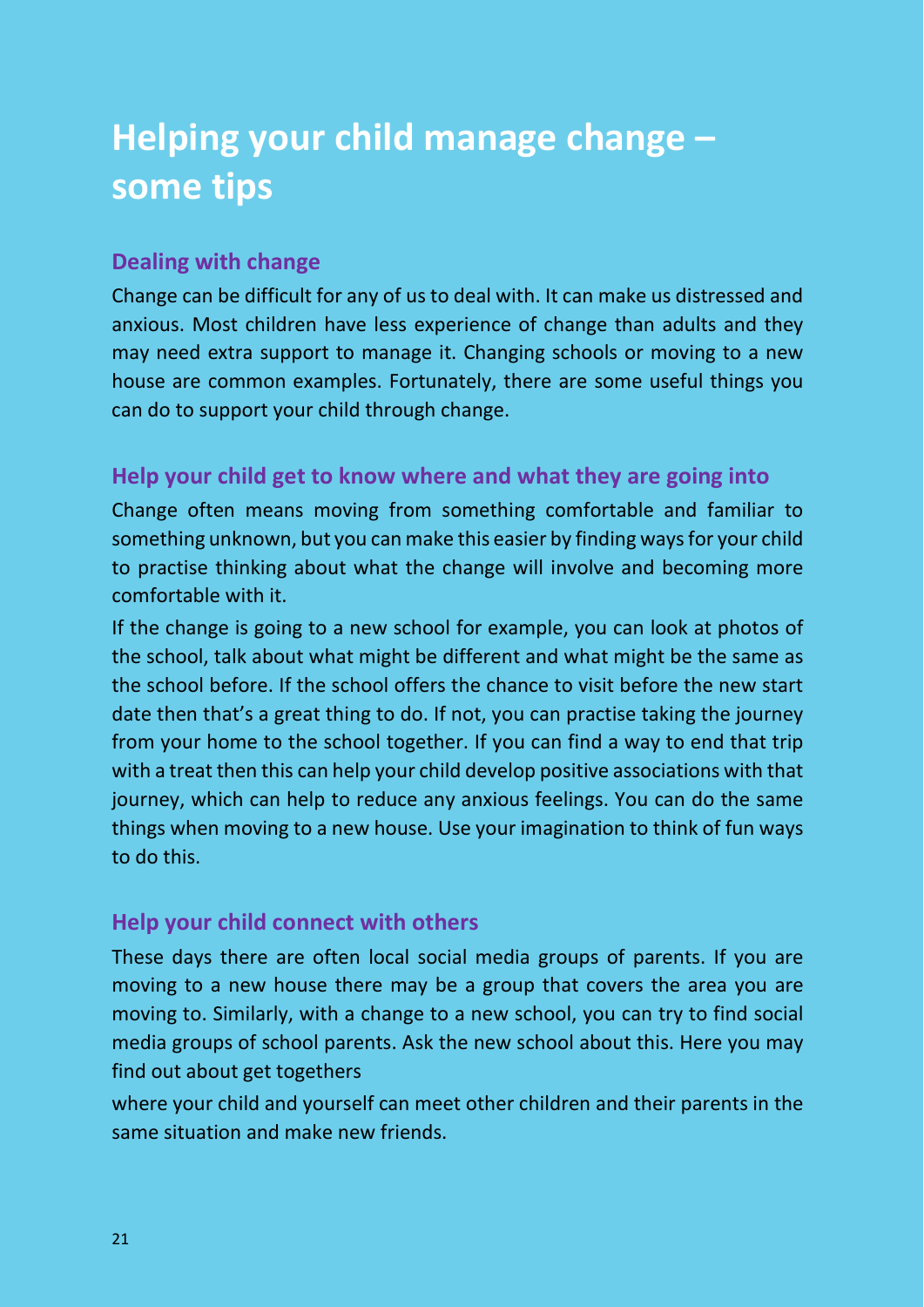## **Helping your child manage change – some tips**

#### **Dealing with change**

Change can be difficult for any of us to deal with. It can make us distressed and anxious. Most children have less experience of change than adults and they may need extra support to manage it. Changing schools or moving to a new house are common examples. Fortunately, there are some useful things you can do to support your child through change.

#### **Help your child get to know where and what they are going into**

Change often means moving from something comfortable and familiar to something unknown, but you can make this easier by finding ways for your child to practise thinking about what the change will involve and becoming more comfortable with it.

If the change is going to a new school for example, you can look at photos of the school, talk about what might be different and what might be the same as the school before. If the school offers the chance to visit before the new start date then that's a great thing to do. If not, you can practise taking the journey from your home to the school together. If you can find a way to end that trip with a treat then this can help your child develop positive associations with that journey, which can help to reduce any anxious feelings. You can do the same things when moving to a new house. Use your imagination to think of fun ways to do this.

#### **Help your child connect with others**

These days there are often local social media groups of parents. If you are moving to a new house there may be a group that covers the area you are moving to. Similarly, with a change to a new school, you can try to find social media groups of school parents. Ask the new school about this. Here you may find out about get togethers

where your child and yourself can meet other children and their parents in the same situation and make new friends.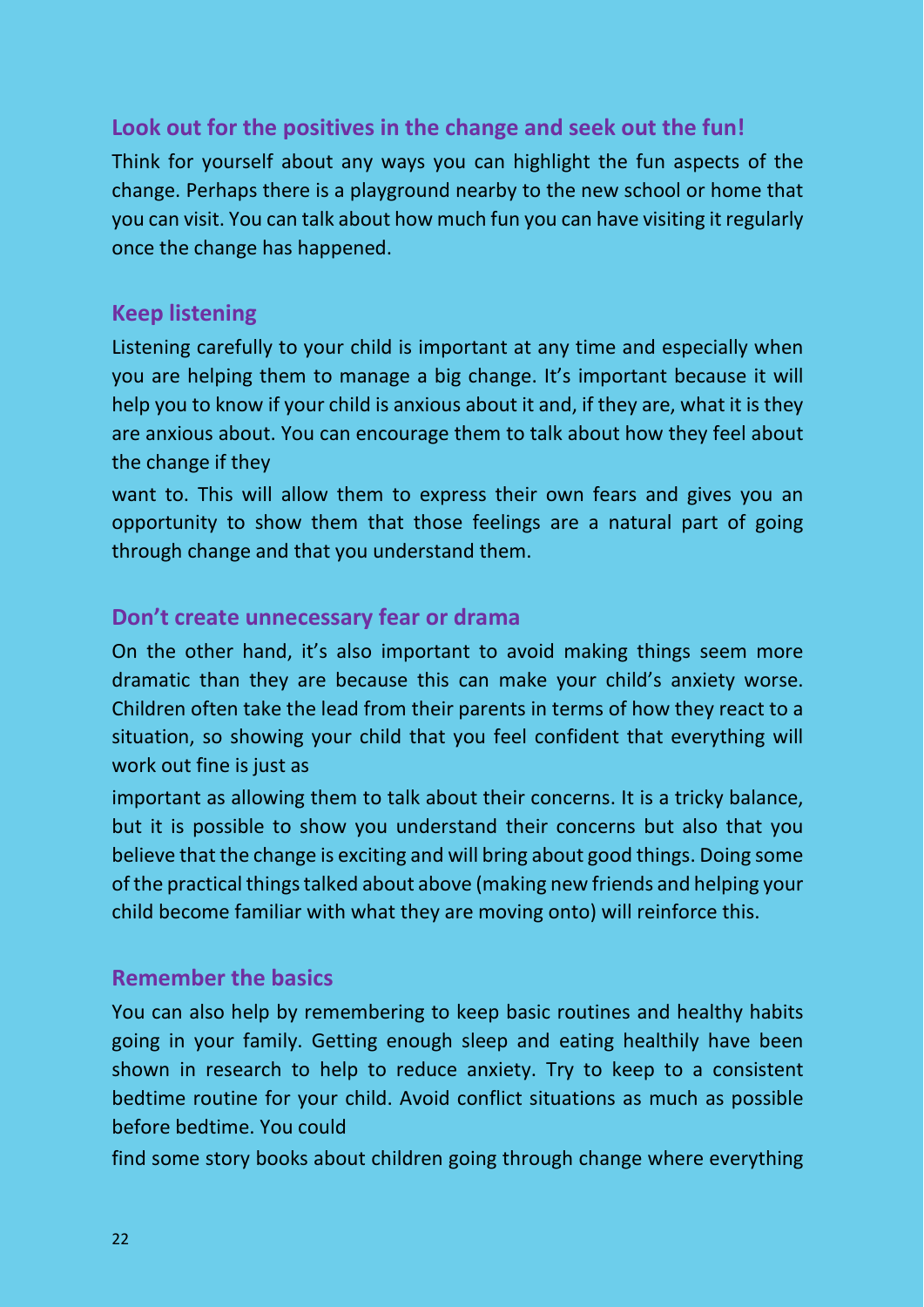#### **Look out for the positives in the change and seek out the fun!**

Think for yourself about any ways you can highlight the fun aspects of the change. Perhaps there is a playground nearby to the new school or home that you can visit. You can talk about how much fun you can have visiting it regularly once the change has happened.

#### **Keep listening**

Listening carefully to your child is important at any time and especially when you are helping them to manage a big change. It's important because it will help you to know if your child is anxious about it and, if they are, what it is they are anxious about. You can encourage them to talk about how they feel about the change if they

want to. This will allow them to express their own fears and gives you an opportunity to show them that those feelings are a natural part of going through change and that you understand them.

#### **Don't create unnecessary fear or drama**

On the other hand, it's also important to avoid making things seem more dramatic than they are because this can make your child's anxiety worse. Children often take the lead from their parents in terms of how they react to a situation, so showing your child that you feel confident that everything will work out fine is just as

important as allowing them to talk about their concerns. It is a tricky balance, but it is possible to show you understand their concerns but also that you believe that the change is exciting and will bring about good things. Doing some of the practical things talked about above (making new friends and helping your child become familiar with what they are moving onto) will reinforce this.

#### **Remember the basics**

You can also help by remembering to keep basic routines and healthy habits going in your family. Getting enough sleep and eating healthily have been shown in research to help to reduce anxiety. Try to keep to a consistent bedtime routine for your child. Avoid conflict situations as much as possible before bedtime. You could

find some story books about children going through change where everything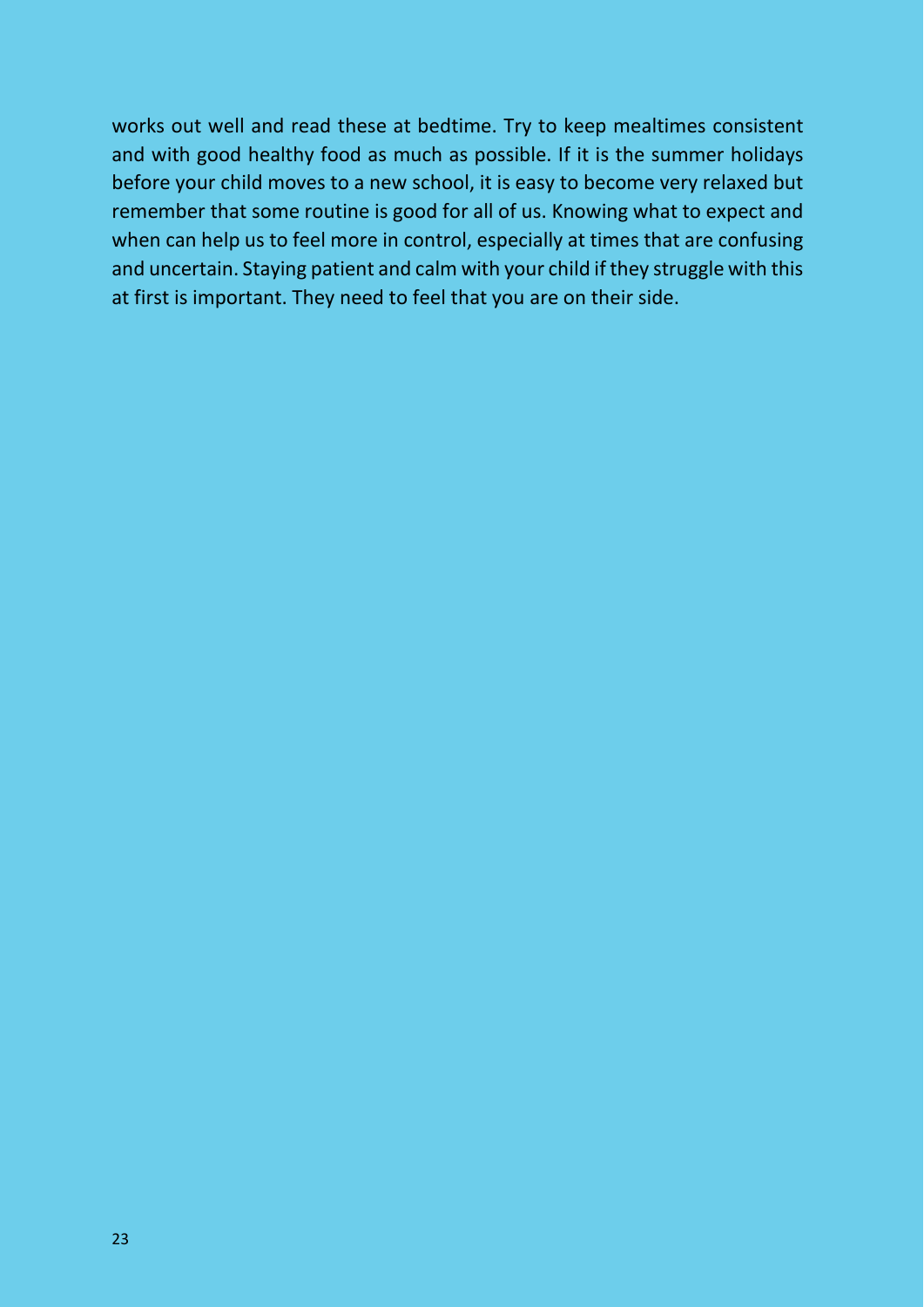works out well and read these at bedtime. Try to keep mealtimes consistent and with good healthy food as much as possible. If it is the summer holidays before your child moves to a new school, it is easy to become very relaxed but remember that some routine is good for all of us. Knowing what to expect and when can help us to feel more in control, especially at times that are confusing and uncertain. Staying patient and calm with your child if they struggle with this at first is important. They need to feel that you are on their side.